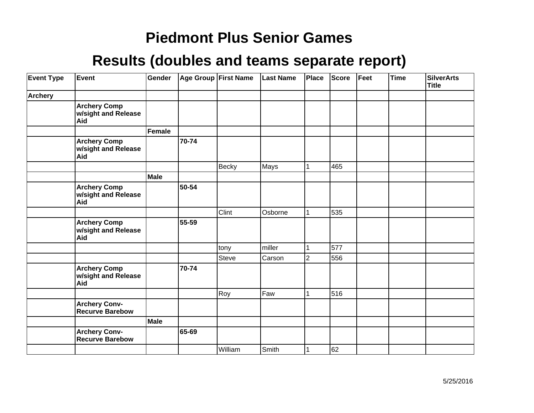| <b>Event Type</b> | Event                                             | Gender      |       | <b>Age Group First Name</b> | <b>Last Name</b> | Place | <b>Score</b> | Feet | Time | <b>SilverArts</b><br><b>Title</b> |
|-------------------|---------------------------------------------------|-------------|-------|-----------------------------|------------------|-------|--------------|------|------|-----------------------------------|
| Archery           |                                                   |             |       |                             |                  |       |              |      |      |                                   |
|                   | <b>Archery Comp</b><br>w/sight and Release<br>Aid |             |       |                             |                  |       |              |      |      |                                   |
|                   |                                                   | Female      |       |                             |                  |       |              |      |      |                                   |
|                   | <b>Archery Comp</b><br>w/sight and Release<br>Aid |             | 70-74 |                             |                  |       |              |      |      |                                   |
|                   |                                                   |             |       | Becky                       | Mays             |       | 465          |      |      |                                   |
|                   |                                                   | <b>Male</b> |       |                             |                  |       |              |      |      |                                   |
|                   | <b>Archery Comp</b><br>w/sight and Release<br>Aid |             | 50-54 |                             |                  |       |              |      |      |                                   |
|                   |                                                   |             |       | Clint                       | Osborne          |       | 535          |      |      |                                   |
|                   | <b>Archery Comp</b><br>w/sight and Release<br>Aid |             | 55-59 |                             |                  |       |              |      |      |                                   |
|                   |                                                   |             |       | tony                        | miller           |       | 577          |      |      |                                   |
|                   |                                                   |             |       | <b>Steve</b>                | Carson           | 2     | 556          |      |      |                                   |
|                   | <b>Archery Comp</b><br>w/sight and Release<br>Aid |             | 70-74 |                             |                  |       |              |      |      |                                   |
|                   |                                                   |             |       | Roy                         | Faw              |       | 516          |      |      |                                   |
|                   | <b>Archery Conv-</b><br><b>Recurve Barebow</b>    |             |       |                             |                  |       |              |      |      |                                   |
|                   |                                                   | Male        |       |                             |                  |       |              |      |      |                                   |
|                   | <b>Archery Conv-</b><br>Recurve Barebow           |             | 65-69 |                             |                  |       |              |      |      |                                   |
|                   |                                                   |             |       | William                     | Smith            |       | 62           |      |      |                                   |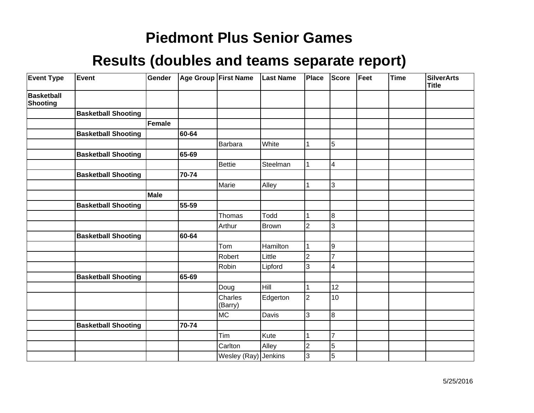| <b>Event Type</b>                    | Event                      | Gender      |       | Age Group First Name | <b>Last Name</b> | Place          | <b>Score</b>            | Feet | <b>Time</b> | <b>SilverArts</b><br><b>Title</b> |
|--------------------------------------|----------------------------|-------------|-------|----------------------|------------------|----------------|-------------------------|------|-------------|-----------------------------------|
| <b>Basketball</b><br><b>Shooting</b> |                            |             |       |                      |                  |                |                         |      |             |                                   |
|                                      | <b>Basketball Shooting</b> |             |       |                      |                  |                |                         |      |             |                                   |
|                                      |                            | Female      |       |                      |                  |                |                         |      |             |                                   |
|                                      | <b>Basketball Shooting</b> |             | 60-64 |                      |                  |                |                         |      |             |                                   |
|                                      |                            |             |       | <b>Barbara</b>       | White            |                | 5                       |      |             |                                   |
|                                      | <b>Basketball Shooting</b> |             | 65-69 |                      |                  |                |                         |      |             |                                   |
|                                      |                            |             |       | <b>Bettie</b>        | Steelman         |                | $\overline{\mathbf{4}}$ |      |             |                                   |
|                                      | <b>Basketball Shooting</b> |             | 70-74 |                      |                  |                |                         |      |             |                                   |
|                                      |                            |             |       | Marie                | Alley            |                | 3                       |      |             |                                   |
|                                      |                            | <b>Male</b> |       |                      |                  |                |                         |      |             |                                   |
|                                      | <b>Basketball Shooting</b> |             | 55-59 |                      |                  |                |                         |      |             |                                   |
|                                      |                            |             |       | Thomas               | Todd             |                | $\overline{8}$          |      |             |                                   |
|                                      |                            |             |       | Arthur               | <b>Brown</b>     | $\overline{2}$ | 3                       |      |             |                                   |
|                                      | <b>Basketball Shooting</b> |             | 60-64 |                      |                  |                |                         |      |             |                                   |
|                                      |                            |             |       | Tom                  | Hamilton         |                | 9                       |      |             |                                   |
|                                      |                            |             |       | Robert               | Little           | $\overline{2}$ | $\overline{7}$          |      |             |                                   |
|                                      |                            |             |       | Robin                | Lipford          | 3              | $\overline{\mathbf{4}}$ |      |             |                                   |
|                                      | <b>Basketball Shooting</b> |             | 65-69 |                      |                  |                |                         |      |             |                                   |
|                                      |                            |             |       | Doug                 | Hill             |                | 12                      |      |             |                                   |
|                                      |                            |             |       | Charles<br>(Barry)   | Edgerton         | $\overline{2}$ | 10                      |      |             |                                   |
|                                      |                            |             |       | MC                   | Davis            | 3              | 8                       |      |             |                                   |
|                                      | <b>Basketball Shooting</b> |             | 70-74 |                      |                  |                |                         |      |             |                                   |
|                                      |                            |             |       | Tim                  | Kute             |                | $\overline{7}$          |      |             |                                   |
|                                      |                            |             |       | Carlton              | Alley            | 2              | 5                       |      |             |                                   |
|                                      |                            |             |       | Wesley (Ray) Jenkins |                  | 3              | $\overline{5}$          |      |             |                                   |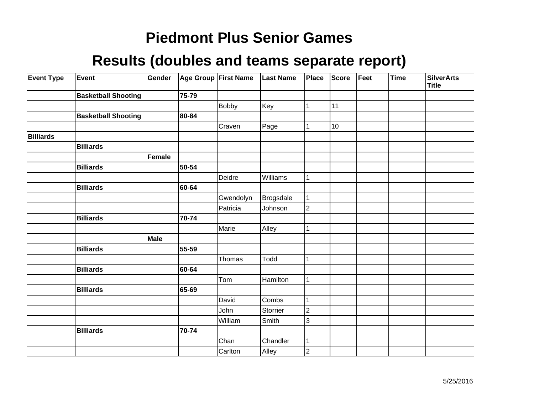| <b>Event Type</b> | Event                      | Gender      |       | Age Group First Name | <b>Last Name</b> | Place          | <b>Score</b> | Feet | <b>Time</b> | <b>SilverArts</b><br><b>Title</b> |
|-------------------|----------------------------|-------------|-------|----------------------|------------------|----------------|--------------|------|-------------|-----------------------------------|
|                   | <b>Basketball Shooting</b> |             | 75-79 |                      |                  |                |              |      |             |                                   |
|                   |                            |             |       | Bobby                | Key              | 1              | 11           |      |             |                                   |
|                   | <b>Basketball Shooting</b> |             | 80-84 |                      |                  |                |              |      |             |                                   |
|                   |                            |             |       | Craven               | Page             | 1              | 10           |      |             |                                   |
| <b>Billiards</b>  |                            |             |       |                      |                  |                |              |      |             |                                   |
|                   | <b>Billiards</b>           |             |       |                      |                  |                |              |      |             |                                   |
|                   |                            | Female      |       |                      |                  |                |              |      |             |                                   |
|                   | <b>Billiards</b>           |             | 50-54 |                      |                  |                |              |      |             |                                   |
|                   |                            |             |       | Deidre               | Williams         | 1              |              |      |             |                                   |
|                   | <b>Billiards</b>           |             | 60-64 |                      |                  |                |              |      |             |                                   |
|                   |                            |             |       | Gwendolyn            | Brogsdale        | 1              |              |      |             |                                   |
|                   |                            |             |       | Patricia             | Johnson          | $\overline{2}$ |              |      |             |                                   |
|                   | <b>Billiards</b>           |             | 70-74 |                      |                  |                |              |      |             |                                   |
|                   |                            |             |       | Marie                | Alley            | 1              |              |      |             |                                   |
|                   |                            | <b>Male</b> |       |                      |                  |                |              |      |             |                                   |
|                   | <b>Billiards</b>           |             | 55-59 |                      |                  |                |              |      |             |                                   |
|                   |                            |             |       | Thomas               | Todd             | 1              |              |      |             |                                   |
|                   | <b>Billiards</b>           |             | 60-64 |                      |                  |                |              |      |             |                                   |
|                   |                            |             |       | Tom                  | Hamilton         | 1              |              |      |             |                                   |
|                   | <b>Billiards</b>           |             | 65-69 |                      |                  |                |              |      |             |                                   |
|                   |                            |             |       | David                | Combs            | 1              |              |      |             |                                   |
|                   |                            |             |       | John                 | Storrier         | $\overline{c}$ |              |      |             |                                   |
|                   |                            |             |       | William              | Smith            | 3              |              |      |             |                                   |
|                   | <b>Billiards</b>           |             | 70-74 |                      |                  |                |              |      |             |                                   |
|                   |                            |             |       | Chan                 | Chandler         | 1              |              |      |             |                                   |
|                   |                            |             |       | Carlton              | Alley            | $\overline{2}$ |              |      |             |                                   |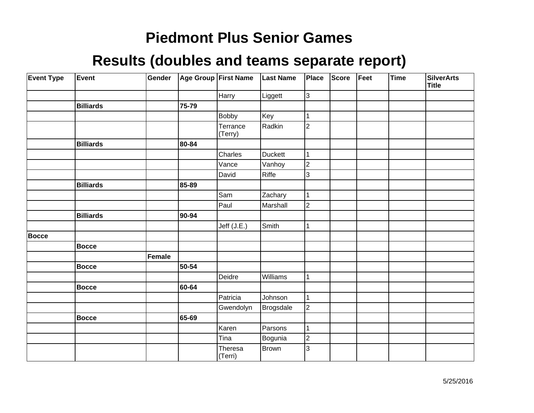| <b>Event Type</b> | Event            | Gender        |       | Age Group First Name | <b>Last Name</b> | Place          | Score | Feet | <b>Time</b> | <b>SilverArts</b><br>Title |
|-------------------|------------------|---------------|-------|----------------------|------------------|----------------|-------|------|-------------|----------------------------|
|                   |                  |               |       | Harry                | Liggett          | $\overline{3}$ |       |      |             |                            |
|                   | <b>Billiards</b> |               | 75-79 |                      |                  |                |       |      |             |                            |
|                   |                  |               |       | <b>Bobby</b>         | Key              | 1              |       |      |             |                            |
|                   |                  |               |       | Terrance<br>(Terry)  | Radkin           | $\overline{2}$ |       |      |             |                            |
|                   | <b>Billiards</b> |               | 80-84 |                      |                  |                |       |      |             |                            |
|                   |                  |               |       | Charles              | Duckett          | $\mathbf{1}$   |       |      |             |                            |
|                   |                  |               |       | Vance                | Vanhoy           | $\overline{c}$ |       |      |             |                            |
|                   |                  |               |       | David                | Riffe            | 3              |       |      |             |                            |
|                   | <b>Billiards</b> |               | 85-89 |                      |                  |                |       |      |             |                            |
|                   |                  |               |       | Sam                  | Zachary          | $\mathbf 1$    |       |      |             |                            |
|                   |                  |               |       | Paul                 | Marshall         | $\overline{2}$ |       |      |             |                            |
|                   | <b>Billiards</b> |               | 90-94 |                      |                  |                |       |      |             |                            |
|                   |                  |               |       | Jeff $(J.E.)$        | Smith            | 1              |       |      |             |                            |
| <b>Bocce</b>      |                  |               |       |                      |                  |                |       |      |             |                            |
|                   | <b>Bocce</b>     |               |       |                      |                  |                |       |      |             |                            |
|                   |                  | <b>Female</b> |       |                      |                  |                |       |      |             |                            |
|                   | <b>Bocce</b>     |               | 50-54 |                      |                  |                |       |      |             |                            |
|                   |                  |               |       | Deidre               | Williams         | $\mathbf{1}$   |       |      |             |                            |
|                   | <b>Bocce</b>     |               | 60-64 |                      |                  |                |       |      |             |                            |
|                   |                  |               |       | Patricia             | Johnson          | $\mathbf{1}$   |       |      |             |                            |
|                   |                  |               |       | Gwendolyn            | <b>Brogsdale</b> | $\overline{2}$ |       |      |             |                            |
|                   | <b>Bocce</b>     |               | 65-69 |                      |                  |                |       |      |             |                            |
|                   |                  |               |       | Karen                | Parsons          | $\mathbf{1}$   |       |      |             |                            |
|                   |                  |               |       | Tina                 | Bogunia          | $\overline{2}$ |       |      |             |                            |
|                   |                  |               |       | Theresa<br>(Terri)   | Brown            | 3              |       |      |             |                            |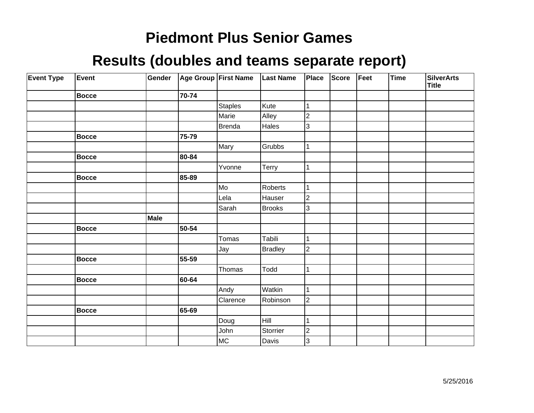| <b>Event Type</b> | Event        | Gender |       | Age Group First Name | <b>Last Name</b> | <b>Place</b>   | Score | Feet | Time | <b>SilverArts</b><br><b>Title</b> |
|-------------------|--------------|--------|-------|----------------------|------------------|----------------|-------|------|------|-----------------------------------|
|                   | Bocce        |        | 70-74 |                      |                  |                |       |      |      |                                   |
|                   |              |        |       | <b>Staples</b>       | Kute             | 1              |       |      |      |                                   |
|                   |              |        |       | Marie                | Alley            | $\overline{2}$ |       |      |      |                                   |
|                   |              |        |       | Brenda               | Hales            | 3              |       |      |      |                                   |
|                   | <b>Bocce</b> |        | 75-79 |                      |                  |                |       |      |      |                                   |
|                   |              |        |       | Mary                 | Grubbs           | $\mathbf{1}$   |       |      |      |                                   |
|                   | <b>Bocce</b> |        | 80-84 |                      |                  |                |       |      |      |                                   |
|                   |              |        |       | Yvonne               | Terry            | 1              |       |      |      |                                   |
|                   | <b>Bocce</b> |        | 85-89 |                      |                  |                |       |      |      |                                   |
|                   |              |        |       | Mo                   | Roberts          | 1              |       |      |      |                                   |
|                   |              |        |       | Lela                 | Hauser           | $\overline{2}$ |       |      |      |                                   |
|                   |              |        |       | Sarah                | Brooks           | 3              |       |      |      |                                   |
|                   |              | Male   |       |                      |                  |                |       |      |      |                                   |
|                   | Bocce        |        | 50-54 |                      |                  |                |       |      |      |                                   |
|                   |              |        |       | Tomas                | Tabili           | 1              |       |      |      |                                   |
|                   |              |        |       | Jay                  | <b>Bradley</b>   | $\overline{2}$ |       |      |      |                                   |
|                   | Bocce        |        | 55-59 |                      |                  |                |       |      |      |                                   |
|                   |              |        |       | Thomas               | Todd             | 1              |       |      |      |                                   |
|                   | <b>Bocce</b> |        | 60-64 |                      |                  |                |       |      |      |                                   |
|                   |              |        |       | Andy                 | Watkin           | 1              |       |      |      |                                   |
|                   |              |        |       | Clarence             | Robinson         | $\overline{2}$ |       |      |      |                                   |
|                   | Bocce        |        | 65-69 |                      |                  |                |       |      |      |                                   |
|                   |              |        |       | Doug                 | Hill             | 1              |       |      |      |                                   |
|                   |              |        |       | John                 | Storrier         | $\overline{2}$ |       |      |      |                                   |
|                   |              |        |       | MC                   | Davis            | 3              |       |      |      |                                   |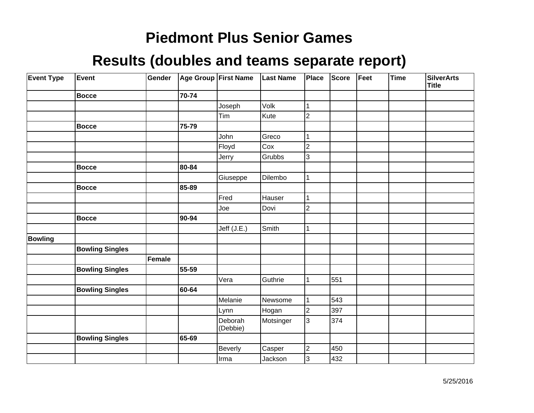| <b>Event Type</b> | Event                  | Gender |       | Age Group First Name | <b>Last Name</b> | Place          | Score | Feet | <b>Time</b> | <b>SilverArts</b><br>Title |
|-------------------|------------------------|--------|-------|----------------------|------------------|----------------|-------|------|-------------|----------------------------|
|                   | <b>Bocce</b>           |        | 70-74 |                      |                  |                |       |      |             |                            |
|                   |                        |        |       | Joseph               | Volk             | 1              |       |      |             |                            |
|                   |                        |        |       | Tim                  | Kute             | $\overline{2}$ |       |      |             |                            |
|                   | <b>Bocce</b>           |        | 75-79 |                      |                  |                |       |      |             |                            |
|                   |                        |        |       | John                 | Greco            | 1              |       |      |             |                            |
|                   |                        |        |       | Floyd                | Cox              | $\overline{2}$ |       |      |             |                            |
|                   |                        |        |       | Jerry                | Grubbs           | 3              |       |      |             |                            |
|                   | <b>Bocce</b>           |        | 80-84 |                      |                  |                |       |      |             |                            |
|                   |                        |        |       | Giuseppe             | Dilembo          | 1              |       |      |             |                            |
|                   | <b>Bocce</b>           |        | 85-89 |                      |                  |                |       |      |             |                            |
|                   |                        |        |       | Fred                 | Hauser           | 1              |       |      |             |                            |
|                   |                        |        |       | Joe                  | Dovi             | $\overline{c}$ |       |      |             |                            |
|                   | <b>Bocce</b>           |        | 90-94 |                      |                  |                |       |      |             |                            |
|                   |                        |        |       | Jeff (J.E.)          | Smith            | 1              |       |      |             |                            |
| <b>Bowling</b>    |                        |        |       |                      |                  |                |       |      |             |                            |
|                   | <b>Bowling Singles</b> |        |       |                      |                  |                |       |      |             |                            |
|                   |                        | Female |       |                      |                  |                |       |      |             |                            |
|                   | <b>Bowling Singles</b> |        | 55-59 |                      |                  |                |       |      |             |                            |
|                   |                        |        |       | Vera                 | Guthrie          | 1              | 551   |      |             |                            |
|                   | <b>Bowling Singles</b> |        | 60-64 |                      |                  |                |       |      |             |                            |
|                   |                        |        |       | Melanie              | Newsome          | 1              | 543   |      |             |                            |
|                   |                        |        |       | Lynn                 | Hogan            | $\overline{2}$ | 397   |      |             |                            |
|                   |                        |        |       | Deborah<br>(Debbie)  | Motsinger        | 3              | 374   |      |             |                            |
|                   | <b>Bowling Singles</b> |        | 65-69 |                      |                  |                |       |      |             |                            |
|                   |                        |        |       | Beverly              | Casper           | $\overline{c}$ | 450   |      |             |                            |
|                   |                        |        |       | Irma                 | Jackson          | 3              | 432   |      |             |                            |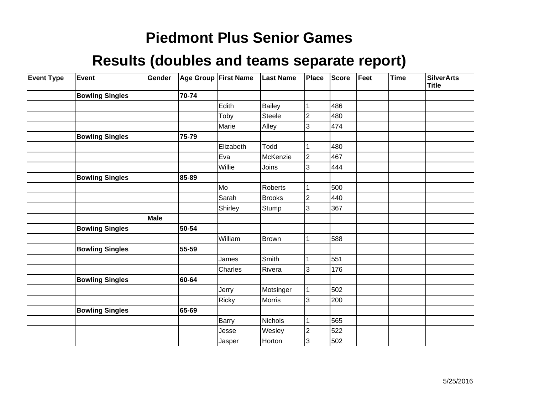| <b>Event Type</b> | <b>Event</b>           | Gender |       | Age Group First Name | <b>Last Name</b> | <b>Place</b>   | <b>Score</b> | Feet | <b>Time</b> | <b>SilverArts</b><br><b>Title</b> |
|-------------------|------------------------|--------|-------|----------------------|------------------|----------------|--------------|------|-------------|-----------------------------------|
|                   | <b>Bowling Singles</b> |        | 70-74 |                      |                  |                |              |      |             |                                   |
|                   |                        |        |       | Edith                | Bailey           |                | 486          |      |             |                                   |
|                   |                        |        |       | Toby                 | Steele           | $\overline{2}$ | 480          |      |             |                                   |
|                   |                        |        |       | Marie                | Alley            | 3              | 474          |      |             |                                   |
|                   | <b>Bowling Singles</b> |        | 75-79 |                      |                  |                |              |      |             |                                   |
|                   |                        |        |       | Elizabeth            | Todd             |                | 480          |      |             |                                   |
|                   |                        |        |       | Eva                  | McKenzie         | 2              | 467          |      |             |                                   |
|                   |                        |        |       | Willie               | Joins            | 3              | 444          |      |             |                                   |
|                   | <b>Bowling Singles</b> |        | 85-89 |                      |                  |                |              |      |             |                                   |
|                   |                        |        |       | Mo                   | Roberts          |                | 500          |      |             |                                   |
|                   |                        |        |       | Sarah                | <b>Brooks</b>    | 2              | 440          |      |             |                                   |
|                   |                        |        |       | Shirley              | Stump            | 3              | 367          |      |             |                                   |
|                   |                        | Male   |       |                      |                  |                |              |      |             |                                   |
|                   | <b>Bowling Singles</b> |        | 50-54 |                      |                  |                |              |      |             |                                   |
|                   |                        |        |       | William              | Brown            |                | 588          |      |             |                                   |
|                   | <b>Bowling Singles</b> |        | 55-59 |                      |                  |                |              |      |             |                                   |
|                   |                        |        |       | James                | Smith            |                | 551          |      |             |                                   |
|                   |                        |        |       | Charles              | Rivera           | 3              | 176          |      |             |                                   |
|                   | <b>Bowling Singles</b> |        | 60-64 |                      |                  |                |              |      |             |                                   |
|                   |                        |        |       | Jerry                | Motsinger        |                | 502          |      |             |                                   |
|                   |                        |        |       | Ricky                | Morris           | 3              | 200          |      |             |                                   |
|                   | <b>Bowling Singles</b> |        | 65-69 |                      |                  |                |              |      |             |                                   |
|                   |                        |        |       | Barry                | <b>Nichols</b>   |                | 565          |      |             |                                   |
|                   |                        |        |       | Jesse                | Wesley           | $\overline{c}$ | 522          |      |             |                                   |
|                   |                        |        |       | Jasper               | Horton           | 3              | 502          |      |             |                                   |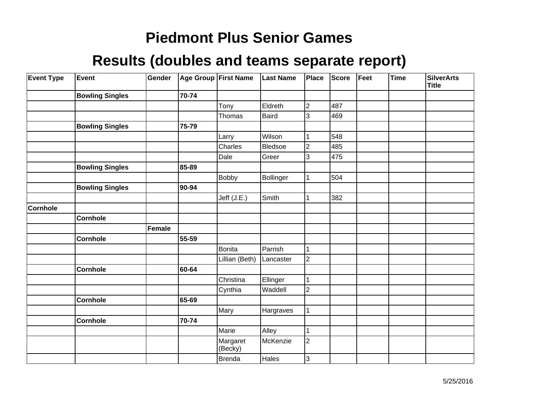| <b>Event Type</b> | Event                  | Gender        |       | Age Group First Name | <b>Last Name</b> | Place          | Score | Feet | <b>Time</b> | <b>SilverArts</b><br>Title |
|-------------------|------------------------|---------------|-------|----------------------|------------------|----------------|-------|------|-------------|----------------------------|
|                   | <b>Bowling Singles</b> |               | 70-74 |                      |                  |                |       |      |             |                            |
|                   |                        |               |       | Tony                 | Eldreth          | $\overline{c}$ | 487   |      |             |                            |
|                   |                        |               |       | Thomas               | Baird            | 3              | 469   |      |             |                            |
|                   | <b>Bowling Singles</b> |               | 75-79 |                      |                  |                |       |      |             |                            |
|                   |                        |               |       | Larry                | Wilson           | 1              | 548   |      |             |                            |
|                   |                        |               |       | Charles              | Bledsoe          | $\overline{2}$ | 485   |      |             |                            |
|                   |                        |               |       | Dale                 | Greer            | 3              | 475   |      |             |                            |
|                   | <b>Bowling Singles</b> |               | 85-89 |                      |                  |                |       |      |             |                            |
|                   |                        |               |       | <b>Bobby</b>         | Bollinger        | 1              | 504   |      |             |                            |
|                   | <b>Bowling Singles</b> |               | 90-94 |                      |                  |                |       |      |             |                            |
|                   |                        |               |       | Jeff (J.E.)          | Smith            | 1              | 382   |      |             |                            |
| <b>Cornhole</b>   |                        |               |       |                      |                  |                |       |      |             |                            |
|                   | Cornhole               |               |       |                      |                  |                |       |      |             |                            |
|                   |                        | <b>Female</b> |       |                      |                  |                |       |      |             |                            |
|                   | <b>Cornhole</b>        |               | 55-59 |                      |                  |                |       |      |             |                            |
|                   |                        |               |       | <b>Bonita</b>        | Parrish          | 1              |       |      |             |                            |
|                   |                        |               |       | Lillian (Beth)       | Lancaster        | $\overline{2}$ |       |      |             |                            |
|                   | <b>Cornhole</b>        |               | 60-64 |                      |                  |                |       |      |             |                            |
|                   |                        |               |       | Christina            | Ellinger         | $\mathbf{1}$   |       |      |             |                            |
|                   |                        |               |       | Cynthia              | Waddell          | $\overline{2}$ |       |      |             |                            |
|                   | <b>Cornhole</b>        |               | 65-69 |                      |                  |                |       |      |             |                            |
|                   |                        |               |       | Mary                 | Hargraves        | 1              |       |      |             |                            |
|                   | <b>Cornhole</b>        |               | 70-74 |                      |                  |                |       |      |             |                            |
|                   |                        |               |       | Marie                | Alley            | $\mathbf{1}$   |       |      |             |                            |
|                   |                        |               |       | Margaret<br>(Becky)  | McKenzie         | $\overline{c}$ |       |      |             |                            |
|                   |                        |               |       | <b>Brenda</b>        | Hales            | 3              |       |      |             |                            |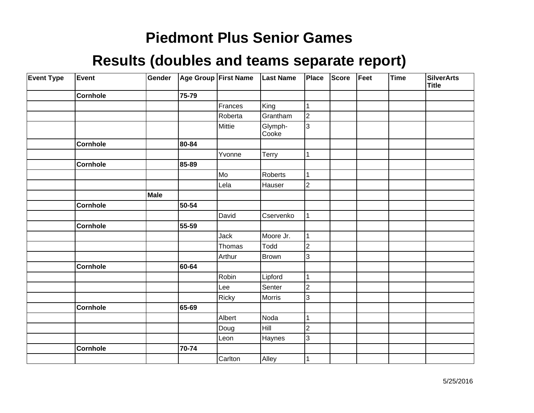| <b>Event Type</b> | Event           | Gender | Age Group First Name |         | <b>Last Name</b> | Place          | <b>Score</b> | Feet | Time | <b>SilverArts</b><br><b>Title</b> |
|-------------------|-----------------|--------|----------------------|---------|------------------|----------------|--------------|------|------|-----------------------------------|
|                   | <b>Cornhole</b> |        | 75-79                |         |                  |                |              |      |      |                                   |
|                   |                 |        |                      | Frances | King             | 1              |              |      |      |                                   |
|                   |                 |        |                      | Roberta | Grantham         | $\overline{c}$ |              |      |      |                                   |
|                   |                 |        |                      | Mittie  | Glymph-<br>Cooke | $\overline{3}$ |              |      |      |                                   |
|                   | <b>Cornhole</b> |        | 80-84                |         |                  |                |              |      |      |                                   |
|                   |                 |        |                      | Yvonne  | Terry            | 1              |              |      |      |                                   |
|                   | <b>Cornhole</b> |        | 85-89                |         |                  |                |              |      |      |                                   |
|                   |                 |        |                      | Mo      | Roberts          | 1              |              |      |      |                                   |
|                   |                 |        |                      | Lela    | Hauser           | $\overline{2}$ |              |      |      |                                   |
|                   |                 | Male   |                      |         |                  |                |              |      |      |                                   |
|                   | <b>Cornhole</b> |        | 50-54                |         |                  |                |              |      |      |                                   |
|                   |                 |        |                      | David   | Cservenko        | 1              |              |      |      |                                   |
|                   | <b>Cornhole</b> |        | 55-59                |         |                  |                |              |      |      |                                   |
|                   |                 |        |                      | Jack    | Moore Jr.        | 1              |              |      |      |                                   |
|                   |                 |        |                      | Thomas  | Todd             | $\overline{c}$ |              |      |      |                                   |
|                   |                 |        |                      | Arthur  | <b>Brown</b>     | 3              |              |      |      |                                   |
|                   | <b>Cornhole</b> |        | 60-64                |         |                  |                |              |      |      |                                   |
|                   |                 |        |                      | Robin   | Lipford          | 1              |              |      |      |                                   |
|                   |                 |        |                      | Lee     | Senter           | $\overline{c}$ |              |      |      |                                   |
|                   |                 |        |                      | Ricky   | Morris           | 3              |              |      |      |                                   |
|                   | <b>Cornhole</b> |        | 65-69                |         |                  |                |              |      |      |                                   |
|                   |                 |        |                      | Albert  | Noda             | 1              |              |      |      |                                   |
|                   |                 |        |                      | Doug    | Hill             | $\overline{2}$ |              |      |      |                                   |
|                   |                 |        |                      | Leon    | Haynes           | 3              |              |      |      |                                   |
|                   | <b>Cornhole</b> |        | 70-74                |         |                  |                |              |      |      |                                   |
|                   |                 |        |                      | Carlton | Alley            |                |              |      |      |                                   |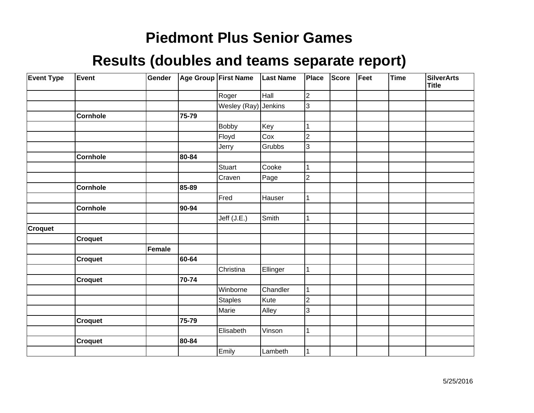| <b>Event Type</b> | Event           | Gender |       | Age Group First Name | <b>Last Name</b> | Place            | <b>Score</b> | Feet | <b>Time</b> | <b>SilverArts</b><br><b>Title</b> |
|-------------------|-----------------|--------|-------|----------------------|------------------|------------------|--------------|------|-------------|-----------------------------------|
|                   |                 |        |       | Roger                | Hall             | $\boldsymbol{2}$ |              |      |             |                                   |
|                   |                 |        |       | Wesley (Ray)         | Jenkins          | 3                |              |      |             |                                   |
|                   | <b>Cornhole</b> |        | 75-79 |                      |                  |                  |              |      |             |                                   |
|                   |                 |        |       | <b>Bobby</b>         | Key              | 1                |              |      |             |                                   |
|                   |                 |        |       | Floyd                | Cox              | $\overline{2}$   |              |      |             |                                   |
|                   |                 |        |       | Jerry                | Grubbs           | 3                |              |      |             |                                   |
|                   | <b>Cornhole</b> |        | 80-84 |                      |                  |                  |              |      |             |                                   |
|                   |                 |        |       | <b>Stuart</b>        | Cooke            | 1                |              |      |             |                                   |
|                   |                 |        |       | Craven               | Page             | $\overline{c}$   |              |      |             |                                   |
|                   | <b>Cornhole</b> |        | 85-89 |                      |                  |                  |              |      |             |                                   |
|                   |                 |        |       | Fred                 | Hauser           | 1                |              |      |             |                                   |
|                   | Cornhole        |        | 90-94 |                      |                  |                  |              |      |             |                                   |
|                   |                 |        |       | Jeff (J.E.)          | Smith            | 1                |              |      |             |                                   |
| <b>Croquet</b>    |                 |        |       |                      |                  |                  |              |      |             |                                   |
|                   | <b>Croquet</b>  |        |       |                      |                  |                  |              |      |             |                                   |
|                   |                 | Female |       |                      |                  |                  |              |      |             |                                   |
|                   | <b>Croquet</b>  |        | 60-64 |                      |                  |                  |              |      |             |                                   |
|                   |                 |        |       | Christina            | Ellinger         | 1                |              |      |             |                                   |
|                   | Croquet         |        | 70-74 |                      |                  |                  |              |      |             |                                   |
|                   |                 |        |       | Winborne             | Chandler         | 1                |              |      |             |                                   |
|                   |                 |        |       | <b>Staples</b>       | Kute             | $\boldsymbol{2}$ |              |      |             |                                   |
|                   |                 |        |       | Marie                | Alley            | 3                |              |      |             |                                   |
|                   | <b>Croquet</b>  |        | 75-79 |                      |                  |                  |              |      |             |                                   |
|                   |                 |        |       | Elisabeth            | Vinson           | $\mathbf 1$      |              |      |             |                                   |
|                   | <b>Croquet</b>  |        | 80-84 |                      |                  |                  |              |      |             |                                   |
|                   |                 |        |       | Emily                | Lambeth          | 1                |              |      |             |                                   |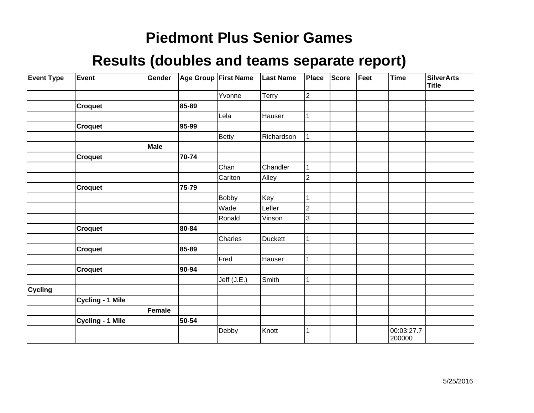| <b>Event Type</b> | Event                   | Gender |       | Age Group First Name | <b>Last Name</b> | Place          | <b>Score</b> | Feet | Time                 | <b>SilverArts</b><br><b>Title</b> |
|-------------------|-------------------------|--------|-------|----------------------|------------------|----------------|--------------|------|----------------------|-----------------------------------|
|                   |                         |        |       | Yvonne               | Terry            | $\overline{c}$ |              |      |                      |                                   |
|                   | <b>Croquet</b>          |        | 85-89 |                      |                  |                |              |      |                      |                                   |
|                   |                         |        |       | Lela                 | Hauser           |                |              |      |                      |                                   |
|                   | <b>Croquet</b>          |        | 95-99 |                      |                  |                |              |      |                      |                                   |
|                   |                         |        |       | <b>Betty</b>         | Richardson       |                |              |      |                      |                                   |
|                   |                         | Male   |       |                      |                  |                |              |      |                      |                                   |
|                   | <b>Croquet</b>          |        | 70-74 |                      |                  |                |              |      |                      |                                   |
|                   |                         |        |       | Chan                 | Chandler         | 1              |              |      |                      |                                   |
|                   |                         |        |       | Carlton              | Alley            | 2              |              |      |                      |                                   |
|                   | <b>Croquet</b>          |        | 75-79 |                      |                  |                |              |      |                      |                                   |
|                   |                         |        |       | <b>Bobby</b>         | Key              |                |              |      |                      |                                   |
|                   |                         |        |       | Wade                 | Lefler           | 2              |              |      |                      |                                   |
|                   |                         |        |       | Ronald               | Vinson           | 3              |              |      |                      |                                   |
|                   | <b>Croquet</b>          |        | 80-84 |                      |                  |                |              |      |                      |                                   |
|                   |                         |        |       | Charles              | <b>Duckett</b>   |                |              |      |                      |                                   |
|                   | <b>Croquet</b>          |        | 85-89 |                      |                  |                |              |      |                      |                                   |
|                   |                         |        |       | Fred                 | Hauser           | 1              |              |      |                      |                                   |
|                   | <b>Croquet</b>          |        | 90-94 |                      |                  |                |              |      |                      |                                   |
|                   |                         |        |       | Jeff (J.E.)          | Smith            |                |              |      |                      |                                   |
| <b>Cycling</b>    |                         |        |       |                      |                  |                |              |      |                      |                                   |
|                   | <b>Cycling - 1 Mile</b> |        |       |                      |                  |                |              |      |                      |                                   |
|                   |                         | Female |       |                      |                  |                |              |      |                      |                                   |
|                   | <b>Cycling - 1 Mile</b> |        | 50-54 |                      |                  |                |              |      |                      |                                   |
|                   |                         |        |       | Debby                | Knott            |                |              |      | 00:03:27.7<br>200000 |                                   |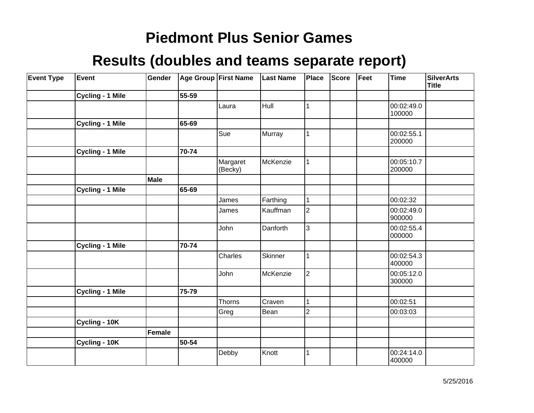| <b>Event Type</b> | Event                   | Gender |       | Age Group First Name | <b>Last Name</b> | Place          | <b>Score</b> | Feet | <b>Time</b>          | <b>SilverArts</b><br><b>Title</b> |
|-------------------|-------------------------|--------|-------|----------------------|------------------|----------------|--------------|------|----------------------|-----------------------------------|
|                   | <b>Cycling - 1 Mile</b> |        | 55-59 |                      |                  |                |              |      |                      |                                   |
|                   |                         |        |       | Laura                | Hull             | 1              |              |      | 00:02:49.0<br>100000 |                                   |
|                   | Cycling - 1 Mile        |        | 65-69 |                      |                  |                |              |      |                      |                                   |
|                   |                         |        |       | Sue                  | Murray           | 1              |              |      | 00:02:55.1<br>200000 |                                   |
|                   | <b>Cycling - 1 Mile</b> |        | 70-74 |                      |                  |                |              |      |                      |                                   |
|                   |                         |        |       | Margaret<br>(Becky)  | McKenzie         | 1              |              |      | 00:05:10.7<br>200000 |                                   |
|                   |                         | Male   |       |                      |                  |                |              |      |                      |                                   |
|                   | Cycling - 1 Mile        |        | 65-69 |                      |                  |                |              |      |                      |                                   |
|                   |                         |        |       | James                | Farthing         | 1              |              |      | 00:02:32             |                                   |
|                   |                         |        |       | James                | Kauffman         | $\overline{2}$ |              |      | 00:02:49.0<br>900000 |                                   |
|                   |                         |        |       | John                 | Danforth         | 3              |              |      | 00:02:55.4<br>000000 |                                   |
|                   | <b>Cycling - 1 Mile</b> |        | 70-74 |                      |                  |                |              |      |                      |                                   |
|                   |                         |        |       | Charles              | Skinner          | 1              |              |      | 00:02:54.3<br>400000 |                                   |
|                   |                         |        |       | John                 | McKenzie         | $\overline{2}$ |              |      | 00:05:12.0<br>300000 |                                   |
|                   | <b>Cycling - 1 Mile</b> |        | 75-79 |                      |                  |                |              |      |                      |                                   |
|                   |                         |        |       | Thorns               | Craven           | 1              |              |      | 00:02:51             |                                   |
|                   |                         |        |       | Greg                 | Bean             | $\overline{2}$ |              |      | 00:03:03             |                                   |
|                   | Cycling - 10K           |        |       |                      |                  |                |              |      |                      |                                   |
|                   |                         | Female |       |                      |                  |                |              |      |                      |                                   |
|                   | Cycling - 10K           |        | 50-54 |                      |                  |                |              |      |                      |                                   |
|                   |                         |        |       | Debby                | Knott            | 1              |              |      | 00:24:14.0<br>400000 |                                   |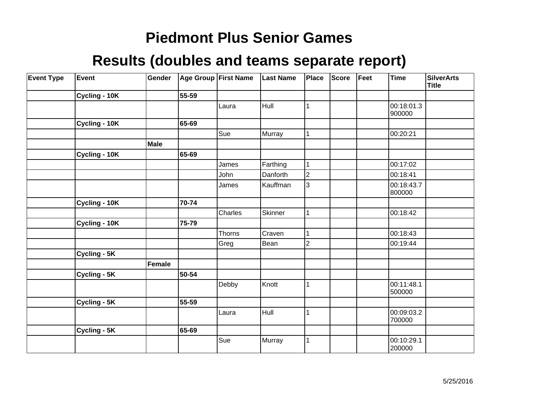| <b>Event Type</b> | Event         | Gender |       | Age Group First Name | <b>Last Name</b> | Place          | Score | Feet | <b>Time</b>          | <b>SilverArts</b><br><b>Title</b> |
|-------------------|---------------|--------|-------|----------------------|------------------|----------------|-------|------|----------------------|-----------------------------------|
|                   | Cycling - 10K |        | 55-59 |                      |                  |                |       |      |                      |                                   |
|                   |               |        |       | Laura                | Hull             |                |       |      | 00:18:01.3<br>900000 |                                   |
|                   | Cycling - 10K |        | 65-69 |                      |                  |                |       |      |                      |                                   |
|                   |               |        |       | Sue                  | Murray           |                |       |      | 00:20:21             |                                   |
|                   |               | Male   |       |                      |                  |                |       |      |                      |                                   |
|                   | Cycling - 10K |        | 65-69 |                      |                  |                |       |      |                      |                                   |
|                   |               |        |       | James                | Farthing         | 1              |       |      | 00:17:02             |                                   |
|                   |               |        |       | John                 | Danforth         | $\overline{2}$ |       |      | 00:18:41             |                                   |
|                   |               |        |       | James                | Kauffman         | 3              |       |      | 00:18:43.7<br>800000 |                                   |
|                   | Cycling - 10K |        | 70-74 |                      |                  |                |       |      |                      |                                   |
|                   |               |        |       | Charles              | Skinner          |                |       |      | 00:18:42             |                                   |
|                   | Cycling - 10K |        | 75-79 |                      |                  |                |       |      |                      |                                   |
|                   |               |        |       | Thorns               | Craven           |                |       |      | 00:18:43             |                                   |
|                   |               |        |       | Greg                 | Bean             | $\overline{2}$ |       |      | 00:19:44             |                                   |
|                   | Cycling - 5K  |        |       |                      |                  |                |       |      |                      |                                   |
|                   |               | Female |       |                      |                  |                |       |      |                      |                                   |
|                   | Cycling - 5K  |        | 50-54 |                      |                  |                |       |      |                      |                                   |
|                   |               |        |       | Debby                | Knott            |                |       |      | 00:11:48.1<br>500000 |                                   |
|                   | Cycling - 5K  |        | 55-59 |                      |                  |                |       |      |                      |                                   |
|                   |               |        |       | Laura                | Hull             |                |       |      | 00:09:03.2<br>700000 |                                   |
|                   | Cycling - 5K  |        | 65-69 |                      |                  |                |       |      |                      |                                   |
|                   |               |        |       | Sue                  | Murray           |                |       |      | 00:10:29.1<br>200000 |                                   |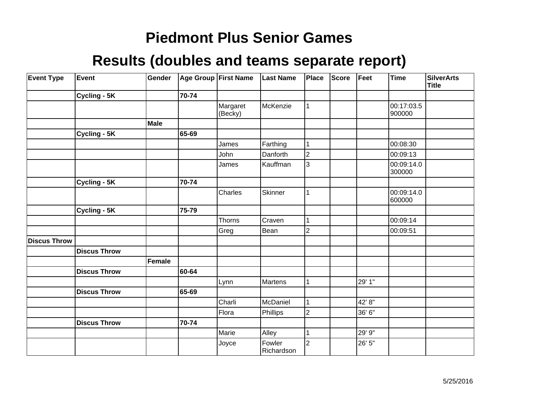| <b>Event Type</b>   | Event               | Gender |       | Age Group First Name | <b>Last Name</b>     | <b>Place</b>   | <b>Score</b> | Feet   | <b>Time</b>          | <b>SilverArts</b><br><b>Title</b> |
|---------------------|---------------------|--------|-------|----------------------|----------------------|----------------|--------------|--------|----------------------|-----------------------------------|
|                     | Cycling - 5K        |        | 70-74 |                      |                      |                |              |        |                      |                                   |
|                     |                     |        |       | Margaret<br>(Becky)  | McKenzie             |                |              |        | 00:17:03.5<br>900000 |                                   |
|                     |                     | Male   |       |                      |                      |                |              |        |                      |                                   |
|                     | Cycling - 5K        |        | 65-69 |                      |                      |                |              |        |                      |                                   |
|                     |                     |        |       | James                | Farthing             |                |              |        | 00:08:30             |                                   |
|                     |                     |        |       | John                 | Danforth             | $\overline{2}$ |              |        | 00:09:13             |                                   |
|                     |                     |        |       | James                | Kauffman             | 3              |              |        | 00:09:14.0<br>300000 |                                   |
|                     | Cycling - 5K        |        | 70-74 |                      |                      |                |              |        |                      |                                   |
|                     |                     |        |       | Charles              | Skinner              | 1              |              |        | 00:09:14.0<br>600000 |                                   |
|                     | Cycling - 5K        |        | 75-79 |                      |                      |                |              |        |                      |                                   |
|                     |                     |        |       | Thorns               | Craven               |                |              |        | 00:09:14             |                                   |
|                     |                     |        |       | Greg                 | Bean                 | 2              |              |        | 00:09:51             |                                   |
| <b>Discus Throw</b> |                     |        |       |                      |                      |                |              |        |                      |                                   |
|                     | <b>Discus Throw</b> |        |       |                      |                      |                |              |        |                      |                                   |
|                     |                     | Female |       |                      |                      |                |              |        |                      |                                   |
|                     | <b>Discus Throw</b> |        | 60-64 |                      |                      |                |              |        |                      |                                   |
|                     |                     |        |       | Lynn                 | Martens              |                |              | 29' 1" |                      |                                   |
|                     | <b>Discus Throw</b> |        | 65-69 |                      |                      |                |              |        |                      |                                   |
|                     |                     |        |       | Charli               | McDaniel             |                |              | 42' 8" |                      |                                   |
|                     |                     |        |       | Flora                | Phillips             | 2              |              | 36' 6" |                      |                                   |
|                     | <b>Discus Throw</b> |        | 70-74 |                      |                      |                |              |        |                      |                                   |
|                     |                     |        |       | Marie                | Alley                |                |              | 29' 9" |                      |                                   |
|                     |                     |        |       | Joyce                | Fowler<br>Richardson | $\overline{2}$ |              | 26' 5" |                      |                                   |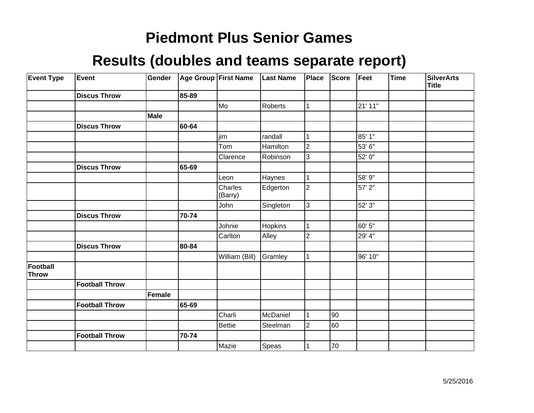| <b>Event Type</b>        | Event                 | Gender      |       | Age Group First Name | <b>Last Name</b> | Place          | <b>Score</b> | Feet    | <b>Time</b> | <b>SilverArts</b><br><b>Title</b> |
|--------------------------|-----------------------|-------------|-------|----------------------|------------------|----------------|--------------|---------|-------------|-----------------------------------|
|                          | <b>Discus Throw</b>   |             | 85-89 |                      |                  |                |              |         |             |                                   |
|                          |                       |             |       | Mo                   | Roberts          | 1              |              | 21' 11" |             |                                   |
|                          |                       | <b>Male</b> |       |                      |                  |                |              |         |             |                                   |
|                          | <b>Discus Throw</b>   |             | 60-64 |                      |                  |                |              |         |             |                                   |
|                          |                       |             |       | <i>i</i> im          | randall          |                |              | 85' 1"  |             |                                   |
|                          |                       |             |       | Tom                  | Hamilton         | $\overline{2}$ |              | 53'6"   |             |                                   |
|                          |                       |             |       | Clarence             | Robinson         | 3              |              | 52' 0"  |             |                                   |
|                          | <b>Discus Throw</b>   |             | 65-69 |                      |                  |                |              |         |             |                                   |
|                          |                       |             |       | Leon                 | Haynes           | $\mathbf 1$    |              | 58' 9"  |             |                                   |
|                          |                       |             |       | Charles<br>(Barry)   | Edgerton         | $\overline{2}$ |              | 57' 2"  |             |                                   |
|                          |                       |             |       | John                 | Singleton        | 3              |              | 52' 3"  |             |                                   |
|                          | <b>Discus Throw</b>   |             | 70-74 |                      |                  |                |              |         |             |                                   |
|                          |                       |             |       | Johnie               | Hopkins          | 1              |              | 60' 5"  |             |                                   |
|                          |                       |             |       | Carlton              | Alley            | $\overline{c}$ |              | 29' 4"  |             |                                   |
|                          | <b>Discus Throw</b>   |             | 80-84 |                      |                  |                |              |         |             |                                   |
|                          |                       |             |       | William (Bill)       | Gramley          |                |              | 96' 10" |             |                                   |
| Football<br><b>Throw</b> |                       |             |       |                      |                  |                |              |         |             |                                   |
|                          | <b>Football Throw</b> |             |       |                      |                  |                |              |         |             |                                   |
|                          |                       | Female      |       |                      |                  |                |              |         |             |                                   |
|                          | <b>Football Throw</b> |             | 65-69 |                      |                  |                |              |         |             |                                   |
|                          |                       |             |       | Charli               | McDaniel         |                | 90           |         |             |                                   |
|                          |                       |             |       | <b>Bettie</b>        | Steelman         | $\overline{2}$ | 60           |         |             |                                   |
|                          | <b>Football Throw</b> |             | 70-74 |                      |                  |                |              |         |             |                                   |
|                          |                       |             |       | Mazie                | Speas            |                | 70           |         |             |                                   |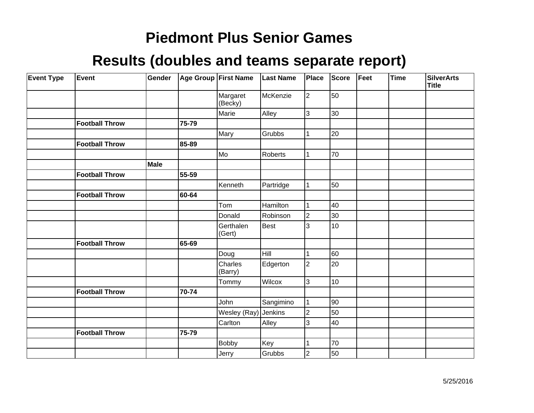| <b>Event Type</b> | Event                 | Gender |       | Age Group First Name | <b>Last Name</b> | Place          | Score | Feet | <b>Time</b> | <b>SilverArts</b><br><b>Title</b> |
|-------------------|-----------------------|--------|-------|----------------------|------------------|----------------|-------|------|-------------|-----------------------------------|
|                   |                       |        |       | Margaret<br>(Becky)  | McKenzie         | $\overline{2}$ | 50    |      |             |                                   |
|                   |                       |        |       | Marie                | Alley            | 3              | 30    |      |             |                                   |
|                   | <b>Football Throw</b> |        | 75-79 |                      |                  |                |       |      |             |                                   |
|                   |                       |        |       | Mary                 | Grubbs           |                | 20    |      |             |                                   |
|                   | <b>Football Throw</b> |        | 85-89 |                      |                  |                |       |      |             |                                   |
|                   |                       |        |       | Mo]                  | Roberts          |                | 70    |      |             |                                   |
|                   |                       | Male   |       |                      |                  |                |       |      |             |                                   |
|                   | <b>Football Throw</b> |        | 55-59 |                      |                  |                |       |      |             |                                   |
|                   |                       |        |       | Kenneth              | Partridge        |                | 50    |      |             |                                   |
|                   | <b>Football Throw</b> |        | 60-64 |                      |                  |                |       |      |             |                                   |
|                   |                       |        |       | Tom                  | Hamilton         |                | 40    |      |             |                                   |
|                   |                       |        |       | Donald               | Robinson         | $\overline{2}$ | 30    |      |             |                                   |
|                   |                       |        |       | Gerthalen<br>(Gert)  | Best             | 3              | 10    |      |             |                                   |
|                   | <b>Football Throw</b> |        | 65-69 |                      |                  |                |       |      |             |                                   |
|                   |                       |        |       | Doug                 | Hill             |                | 60    |      |             |                                   |
|                   |                       |        |       | Charles<br>(Barry)   | Edgerton         | $\overline{2}$ | 20    |      |             |                                   |
|                   |                       |        |       | Tommy                | <b>Wilcox</b>    | 3              | 10    |      |             |                                   |
|                   | <b>Football Throw</b> |        | 70-74 |                      |                  |                |       |      |             |                                   |
|                   |                       |        |       | John                 | Sangimino        |                | 90    |      |             |                                   |
|                   |                       |        |       | Wesley (Ray)         | Jenkins          | $\overline{2}$ | 50    |      |             |                                   |
|                   |                       |        |       | Carlton              | Alley            | 3              | 40    |      |             |                                   |
|                   | <b>Football Throw</b> |        | 75-79 |                      |                  |                |       |      |             |                                   |
|                   |                       |        |       | <b>Bobby</b>         | Key              |                | 70    |      |             |                                   |
|                   |                       |        |       | Jerry                | Grubbs           | 2              | 50    |      |             |                                   |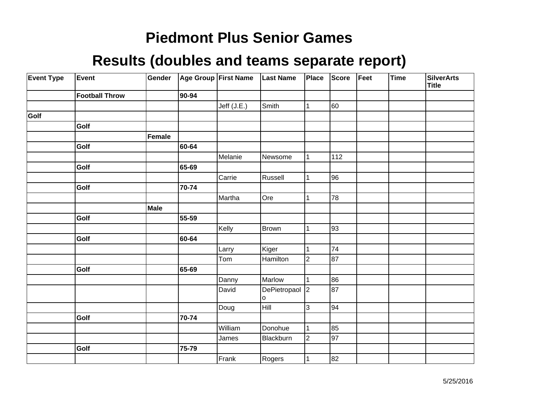| <b>Event Type</b> | Event                 | Gender |       | Age Group First Name | Last Name           | Place          | Score           | Feet | <b>Time</b> | <b>SilverArts</b><br><b>Title</b> |
|-------------------|-----------------------|--------|-------|----------------------|---------------------|----------------|-----------------|------|-------------|-----------------------------------|
|                   | <b>Football Throw</b> |        | 90-94 |                      |                     |                |                 |      |             |                                   |
|                   |                       |        |       | Jeff $(J.E.)$        | Smith               | 1              | 60              |      |             |                                   |
| Golf              |                       |        |       |                      |                     |                |                 |      |             |                                   |
|                   | Golf                  |        |       |                      |                     |                |                 |      |             |                                   |
|                   |                       | Female |       |                      |                     |                |                 |      |             |                                   |
|                   | Golf                  |        | 60-64 |                      |                     |                |                 |      |             |                                   |
|                   |                       |        |       | Melanie              | Newsome             | 1              | 112             |      |             |                                   |
|                   | Golf                  |        | 65-69 |                      |                     |                |                 |      |             |                                   |
|                   |                       |        |       | Carrie               | Russell             | 1              | 96              |      |             |                                   |
|                   | Golf                  |        | 70-74 |                      |                     |                |                 |      |             |                                   |
|                   |                       |        |       | Martha               | Ore                 | 1              | 78              |      |             |                                   |
|                   |                       | Male   |       |                      |                     |                |                 |      |             |                                   |
|                   | Golf                  |        | 55-59 |                      |                     |                |                 |      |             |                                   |
|                   |                       |        |       | Kelly                | Brown               | 1              | 93              |      |             |                                   |
|                   | Golf                  |        | 60-64 |                      |                     |                |                 |      |             |                                   |
|                   |                       |        |       | Larry                | Kiger               | 1              | $\overline{74}$ |      |             |                                   |
|                   |                       |        |       | Tom                  | Hamilton            | $\overline{2}$ | $\overline{87}$ |      |             |                                   |
|                   | Golf                  |        | 65-69 |                      |                     |                |                 |      |             |                                   |
|                   |                       |        |       | Danny                | Marlow              | 1              | 86              |      |             |                                   |
|                   |                       |        |       | David                | DePietropaol 2<br>o |                | 87              |      |             |                                   |
|                   |                       |        |       | Doug                 | Hill                | 3              | 94              |      |             |                                   |
|                   | Golf                  |        | 70-74 |                      |                     |                |                 |      |             |                                   |
|                   |                       |        |       | William              | Donohue             | 1              | 85              |      |             |                                   |
|                   |                       |        |       | James                | Blackburn           | $\overline{2}$ | 97              |      |             |                                   |
|                   | Golf                  |        | 75-79 |                      |                     |                |                 |      |             |                                   |
|                   |                       |        |       | Frank                | Rogers              | $\mathbf{1}$   | 82              |      |             |                                   |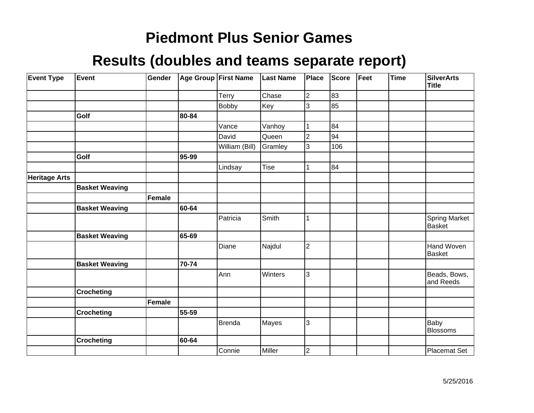| <b>Event Type</b>    | Event                 | Gender        |       | Age Group First Name | <b>Last Name</b> | Place          | Score | $ $ Feet | <b>Time</b> | <b>SilverArts</b><br><b>Title</b> |
|----------------------|-----------------------|---------------|-------|----------------------|------------------|----------------|-------|----------|-------------|-----------------------------------|
|                      |                       |               |       | Terry                | Chase            | $\overline{2}$ | 83    |          |             |                                   |
|                      |                       |               |       | <b>Bobby</b>         | Key              | 3              | 85    |          |             |                                   |
|                      | Golf                  |               | 80-84 |                      |                  |                |       |          |             |                                   |
|                      |                       |               |       | Vance                | Vanhoy           |                | 84    |          |             |                                   |
|                      |                       |               |       | David                | Queen            | $\overline{2}$ | 94    |          |             |                                   |
|                      |                       |               |       | William (Bill)       | Gramley          | 3              | 106   |          |             |                                   |
|                      | Golf                  |               | 95-99 |                      |                  |                |       |          |             |                                   |
|                      |                       |               |       | Lindsay              | Tise             |                | 84    |          |             |                                   |
| <b>Heritage Arts</b> |                       |               |       |                      |                  |                |       |          |             |                                   |
|                      | <b>Basket Weaving</b> |               |       |                      |                  |                |       |          |             |                                   |
|                      |                       | <b>Female</b> |       |                      |                  |                |       |          |             |                                   |
|                      | <b>Basket Weaving</b> |               | 60-64 |                      |                  |                |       |          |             |                                   |
|                      |                       |               |       | Patricia             | Smith            |                |       |          |             | Spring Market<br><b>Basket</b>    |
|                      | <b>Basket Weaving</b> |               | 65-69 |                      |                  |                |       |          |             |                                   |
|                      |                       |               |       | Diane                | Najdul           | $\overline{2}$ |       |          |             | Hand Woven<br>Basket              |
|                      | <b>Basket Weaving</b> |               | 70-74 |                      |                  |                |       |          |             |                                   |
|                      |                       |               |       | Ann                  | Winters          | 3              |       |          |             | Beads, Bows,<br>and Reeds         |
|                      | Crocheting            |               |       |                      |                  |                |       |          |             |                                   |
|                      |                       | <b>Female</b> |       |                      |                  |                |       |          |             |                                   |
|                      | <b>Crocheting</b>     |               | 55-59 |                      |                  |                |       |          |             |                                   |
|                      |                       |               |       | <b>Brenda</b>        | Mayes            | 3              |       |          |             | Baby<br><b>Blossoms</b>           |
|                      | <b>Crocheting</b>     |               | 60-64 |                      |                  |                |       |          |             |                                   |
|                      |                       |               |       | Connie               | Miller           | $\mathbf 2$    |       |          |             | Placemat Set                      |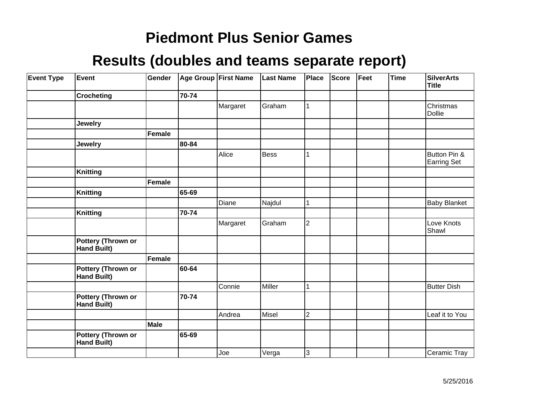| <b>Event Type</b> | Event                                    | Gender |       | Age Group First Name | <b>Last Name</b> | Place        | Score | Feet | <b>Time</b> | <b>SilverArts</b><br><b>Title</b>  |
|-------------------|------------------------------------------|--------|-------|----------------------|------------------|--------------|-------|------|-------------|------------------------------------|
|                   | <b>Crocheting</b>                        |        | 70-74 |                      |                  |              |       |      |             |                                    |
|                   |                                          |        |       | Margaret             | Graham           | 1            |       |      |             | Christmas<br>Dollie                |
|                   | <b>Jewelry</b>                           |        |       |                      |                  |              |       |      |             |                                    |
|                   |                                          | Female |       |                      |                  |              |       |      |             |                                    |
|                   | <b>Jewelry</b>                           |        | 80-84 |                      |                  |              |       |      |             |                                    |
|                   |                                          |        |       | Alice                | <b>Bess</b>      | 1            |       |      |             | Button Pin &<br><b>Earring Set</b> |
|                   | <b>Knitting</b>                          |        |       |                      |                  |              |       |      |             |                                    |
|                   |                                          | Female |       |                      |                  |              |       |      |             |                                    |
|                   | <b>Knitting</b>                          |        | 65-69 |                      |                  |              |       |      |             |                                    |
|                   |                                          |        |       | Diane                | Najdul           | $\mathbf{1}$ |       |      |             | <b>Baby Blanket</b>                |
|                   | <b>Knitting</b>                          |        | 70-74 |                      |                  |              |       |      |             |                                    |
|                   |                                          |        |       | Margaret             | Graham           | 2            |       |      |             | Love Knots<br>Shawl                |
|                   | Pottery (Thrown or<br><b>Hand Built)</b> |        |       |                      |                  |              |       |      |             |                                    |
|                   |                                          | Female |       |                      |                  |              |       |      |             |                                    |
|                   | Pottery (Thrown or<br><b>Hand Built)</b> |        | 60-64 |                      |                  |              |       |      |             |                                    |
|                   |                                          |        |       | Connie               | Miller           | $\mathbf{1}$ |       |      |             | <b>Butter Dish</b>                 |
|                   | Pottery (Thrown or<br><b>Hand Built)</b> |        | 70-74 |                      |                  |              |       |      |             |                                    |
|                   |                                          |        |       | Andrea               | Misel            | 2            |       |      |             | Leaf it to You                     |
|                   |                                          | Male   |       |                      |                  |              |       |      |             |                                    |
|                   | Pottery (Thrown or<br><b>Hand Built)</b> |        | 65-69 |                      |                  |              |       |      |             |                                    |
|                   |                                          |        |       | Joe                  | Verga            | 3            |       |      |             | Ceramic Tray                       |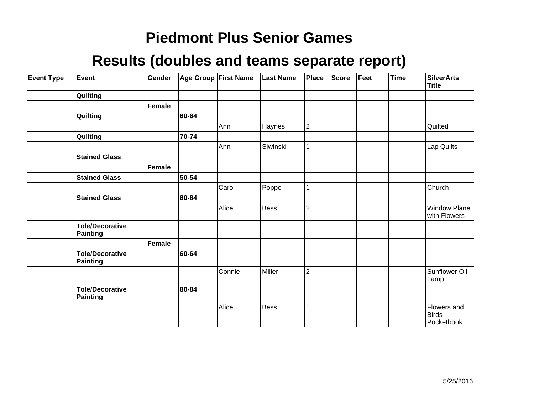| <b>Event Type</b> | Event                              | Gender |       | Age Group First Name | <b>Last Name</b> | Place          | Score | Feet | <b>Time</b> | <b>SilverArts</b><br>Title                |
|-------------------|------------------------------------|--------|-------|----------------------|------------------|----------------|-------|------|-------------|-------------------------------------------|
|                   | Quilting                           |        |       |                      |                  |                |       |      |             |                                           |
|                   |                                    | Female |       |                      |                  |                |       |      |             |                                           |
|                   | Quilting                           |        | 60-64 |                      |                  |                |       |      |             |                                           |
|                   |                                    |        |       | Ann                  | Haynes           | $ 2\rangle$    |       |      |             | Quilted                                   |
|                   | Quilting                           |        | 70-74 |                      |                  |                |       |      |             |                                           |
|                   |                                    |        |       | Ann                  | Siwinski         | 1              |       |      |             | Lap Quilts                                |
|                   | <b>Stained Glass</b>               |        |       |                      |                  |                |       |      |             |                                           |
|                   |                                    | Female |       |                      |                  |                |       |      |             |                                           |
|                   | <b>Stained Glass</b>               |        | 50-54 |                      |                  |                |       |      |             |                                           |
|                   |                                    |        |       | Carol                | Poppo            | 1              |       |      |             | Church                                    |
|                   | <b>Stained Glass</b>               |        | 80-84 |                      |                  |                |       |      |             |                                           |
|                   |                                    |        |       | Alice                | <b>Bess</b>      | $\overline{2}$ |       |      |             | Window Plane<br>with Flowers              |
|                   | <b>Tole/Decorative</b><br>Painting |        |       |                      |                  |                |       |      |             |                                           |
|                   |                                    | Female |       |                      |                  |                |       |      |             |                                           |
|                   | <b>Tole/Decorative</b><br>Painting |        | 60-64 |                      |                  |                |       |      |             |                                           |
|                   |                                    |        |       | Connie               | Miller           | $ 2\rangle$    |       |      |             | Sunflower Oil<br>Lamp                     |
|                   | <b>Tole/Decorative</b><br>Painting |        | 80-84 |                      |                  |                |       |      |             |                                           |
|                   |                                    |        |       | Alice                | <b>Bess</b>      |                |       |      |             | Flowers and<br><b>Birds</b><br>Pocketbook |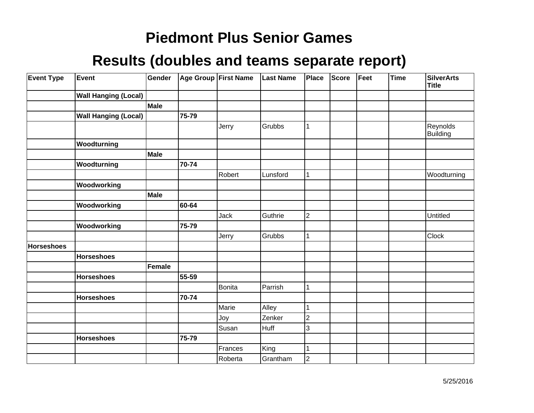| <b>Event Type</b> | Event                       | Gender |       | Age Group First Name | <b>Last Name</b> | Place          | <b>Score</b> | Feet | <b>Time</b> | <b>SilverArts</b><br><b>Title</b> |
|-------------------|-----------------------------|--------|-------|----------------------|------------------|----------------|--------------|------|-------------|-----------------------------------|
|                   | <b>Wall Hanging (Local)</b> |        |       |                      |                  |                |              |      |             |                                   |
|                   |                             | Male   |       |                      |                  |                |              |      |             |                                   |
|                   | <b>Wall Hanging (Local)</b> |        | 75-79 |                      |                  |                |              |      |             |                                   |
|                   |                             |        |       | Jerry                | Grubbs           | 1              |              |      |             | Reynolds<br>Building              |
|                   | Woodturning                 |        |       |                      |                  |                |              |      |             |                                   |
|                   |                             | Male   |       |                      |                  |                |              |      |             |                                   |
|                   | Woodturning                 |        | 70-74 |                      |                  |                |              |      |             |                                   |
|                   |                             |        |       | Robert               | Lunsford         | 1              |              |      |             | Woodturning                       |
|                   | Woodworking                 |        |       |                      |                  |                |              |      |             |                                   |
|                   |                             | Male   |       |                      |                  |                |              |      |             |                                   |
|                   | Woodworking                 |        | 60-64 |                      |                  |                |              |      |             |                                   |
|                   |                             |        |       | Jack                 | Guthrie          | $\overline{c}$ |              |      |             | Untitled                          |
|                   | Woodworking                 |        | 75-79 |                      |                  |                |              |      |             |                                   |
|                   |                             |        |       | Jerry                | Grubbs           |                |              |      |             | Clock                             |
| <b>Horseshoes</b> |                             |        |       |                      |                  |                |              |      |             |                                   |
|                   | <b>Horseshoes</b>           |        |       |                      |                  |                |              |      |             |                                   |
|                   |                             | Female |       |                      |                  |                |              |      |             |                                   |
|                   | <b>Horseshoes</b>           |        | 55-59 |                      |                  |                |              |      |             |                                   |
|                   |                             |        |       | Bonita               | Parrish          |                |              |      |             |                                   |
|                   | <b>Horseshoes</b>           |        | 70-74 |                      |                  |                |              |      |             |                                   |
|                   |                             |        |       | Marie                | Alley            |                |              |      |             |                                   |
|                   |                             |        |       | Joy                  | Zenker           | $\overline{2}$ |              |      |             |                                   |
|                   |                             |        |       | Susan                | <b>Huff</b>      | 3              |              |      |             |                                   |
|                   | <b>Horseshoes</b>           |        | 75-79 |                      |                  |                |              |      |             |                                   |
|                   |                             |        |       | Frances              | King             | 1              |              |      |             |                                   |
|                   |                             |        |       | Roberta              | Grantham         | $\overline{c}$ |              |      |             |                                   |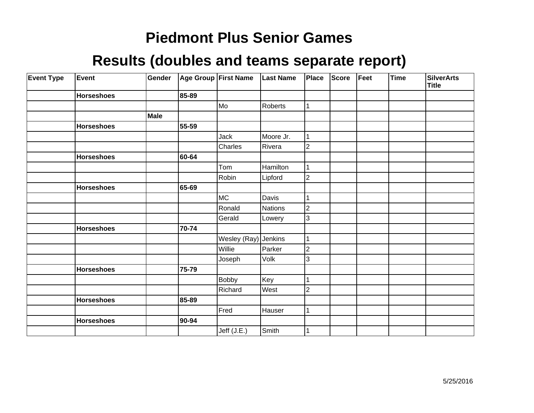| <b>Event Type</b> | <b>Event</b>      | Gender |       | Age Group First Name | Last Name | Place          | Score | Feet | Time | <b>SilverArts</b><br><b>Title</b> |
|-------------------|-------------------|--------|-------|----------------------|-----------|----------------|-------|------|------|-----------------------------------|
|                   | <b>Horseshoes</b> |        | 85-89 |                      |           |                |       |      |      |                                   |
|                   |                   |        |       | Mo]                  | Roberts   |                |       |      |      |                                   |
|                   |                   | Male   |       |                      |           |                |       |      |      |                                   |
|                   | <b>Horseshoes</b> |        | 55-59 |                      |           |                |       |      |      |                                   |
|                   |                   |        |       | Jack                 | Moore Jr. | 1              |       |      |      |                                   |
|                   |                   |        |       | Charles              | Rivera    | $\overline{2}$ |       |      |      |                                   |
|                   | <b>Horseshoes</b> |        | 60-64 |                      |           |                |       |      |      |                                   |
|                   |                   |        |       | Tom                  | Hamilton  | 1              |       |      |      |                                   |
|                   |                   |        |       | Robin                | Lipford   | $\overline{2}$ |       |      |      |                                   |
|                   | <b>Horseshoes</b> |        | 65-69 |                      |           |                |       |      |      |                                   |
|                   |                   |        |       | MC                   | Davis     |                |       |      |      |                                   |
|                   |                   |        |       | Ronald               | Nations   | $\overline{c}$ |       |      |      |                                   |
|                   |                   |        |       | Gerald               | Lowery    | 3              |       |      |      |                                   |
|                   | <b>Horseshoes</b> |        | 70-74 |                      |           |                |       |      |      |                                   |
|                   |                   |        |       | Wesley (Ray) Jenkins |           | 1              |       |      |      |                                   |
|                   |                   |        |       | Willie               | Parker    | $\overline{2}$ |       |      |      |                                   |
|                   |                   |        |       | Joseph               | Volk      | 3              |       |      |      |                                   |
|                   | <b>Horseshoes</b> |        | 75-79 |                      |           |                |       |      |      |                                   |
|                   |                   |        |       | <b>Bobby</b>         | Key       | 1              |       |      |      |                                   |
|                   |                   |        |       | Richard              | West      | 2              |       |      |      |                                   |
|                   | <b>Horseshoes</b> |        | 85-89 |                      |           |                |       |      |      |                                   |
|                   |                   |        |       | Fred                 | Hauser    |                |       |      |      |                                   |
|                   | <b>Horseshoes</b> |        | 90-94 |                      |           |                |       |      |      |                                   |
|                   |                   |        |       | Jeff (J.E.)          | Smith     |                |       |      |      |                                   |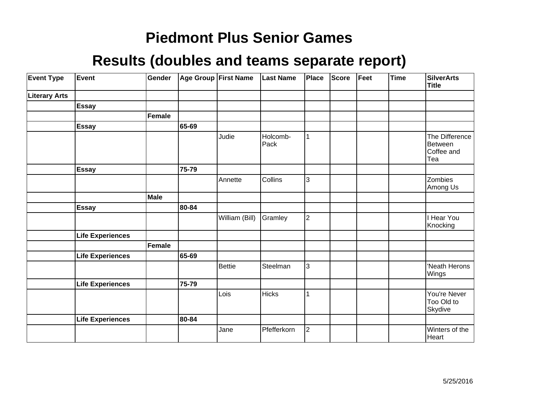| <b>Event Type</b>    | Event                   | Gender        |       | Age Group First Name | <b>Last Name</b> | <b>Place</b>   | <b>Score</b> | Feet | <b>Time</b> | <b>SilverArts</b><br><b>Title</b>              |
|----------------------|-------------------------|---------------|-------|----------------------|------------------|----------------|--------------|------|-------------|------------------------------------------------|
| <b>Literary Arts</b> |                         |               |       |                      |                  |                |              |      |             |                                                |
|                      | Essay                   |               |       |                      |                  |                |              |      |             |                                                |
|                      |                         | <b>Female</b> |       |                      |                  |                |              |      |             |                                                |
|                      | <b>Essay</b>            |               | 65-69 |                      |                  |                |              |      |             |                                                |
|                      |                         |               |       | Judie                | Holcomb-<br>Pack |                |              |      |             | The Difference<br>Between<br>Coffee and<br>Tea |
|                      | <b>Essay</b>            |               | 75-79 |                      |                  |                |              |      |             |                                                |
|                      |                         |               |       | Annette              | Collins          | 3              |              |      |             | Zombies<br>Among Us                            |
|                      |                         | <b>Male</b>   |       |                      |                  |                |              |      |             |                                                |
|                      | <b>Essay</b>            |               | 80-84 |                      |                  |                |              |      |             |                                                |
|                      |                         |               |       | William (Bill)       | Gramley          | $\overline{2}$ |              |      |             | <b>Hear You</b><br>Knocking                    |
|                      | <b>Life Experiences</b> |               |       |                      |                  |                |              |      |             |                                                |
|                      |                         | <b>Female</b> |       |                      |                  |                |              |      |             |                                                |
|                      | <b>Life Experiences</b> |               | 65-69 |                      |                  |                |              |      |             |                                                |
|                      |                         |               |       | <b>Bettie</b>        | Steelman         | 3              |              |      |             | 'Neath Herons<br>Wings                         |
|                      | <b>Life Experiences</b> |               | 75-79 |                      |                  |                |              |      |             |                                                |
|                      |                         |               |       | Lois                 | <b>Hicks</b>     |                |              |      |             | You're Never<br>Too Old to<br>Skydive          |
|                      | <b>Life Experiences</b> |               | 80-84 |                      |                  |                |              |      |             |                                                |
|                      |                         |               |       | Jane                 | Pfefferkorn      | $\overline{2}$ |              |      |             | Winters of the<br>Heart                        |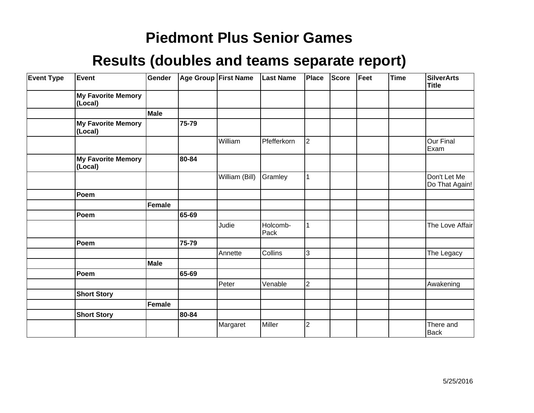| <b>Event Type</b> | Event                                | Gender      |       | Age Group First Name | <b>Last Name</b> | Place                   | <b>Score</b> | Feet | <b>Time</b> | <b>SilverArts</b><br><b>Title</b> |
|-------------------|--------------------------------------|-------------|-------|----------------------|------------------|-------------------------|--------------|------|-------------|-----------------------------------|
|                   | <b>My Favorite Memory</b><br>(Local) |             |       |                      |                  |                         |              |      |             |                                   |
|                   |                                      | <b>Male</b> |       |                      |                  |                         |              |      |             |                                   |
|                   | <b>My Favorite Memory</b><br>(Local) |             | 75-79 |                      |                  |                         |              |      |             |                                   |
|                   |                                      |             |       | William              | Pfefferkorn      | $\overline{2}$          |              |      |             | Our Final<br>Exam                 |
|                   | <b>My Favorite Memory</b><br>(Local) |             | 80-84 |                      |                  |                         |              |      |             |                                   |
|                   |                                      |             |       | William (Bill)       | Gramley          | 1                       |              |      |             | Don't Let Me<br>Do That Again!    |
|                   | Poem                                 |             |       |                      |                  |                         |              |      |             |                                   |
|                   |                                      | Female      |       |                      |                  |                         |              |      |             |                                   |
|                   | Poem                                 |             | 65-69 |                      |                  |                         |              |      |             |                                   |
|                   |                                      |             |       | Judie                | Holcomb-<br>Pack |                         |              |      |             | The Love Affair                   |
|                   | Poem                                 |             | 75-79 |                      |                  |                         |              |      |             |                                   |
|                   |                                      |             |       | Annette              | Collins          | 3                       |              |      |             | The Legacy                        |
|                   |                                      | Male        |       |                      |                  |                         |              |      |             |                                   |
|                   | Poem                                 |             | 65-69 |                      |                  |                         |              |      |             |                                   |
|                   |                                      |             |       | Peter                | Venable          | $\overline{\mathbf{c}}$ |              |      |             | Awakening                         |
|                   | <b>Short Story</b>                   |             |       |                      |                  |                         |              |      |             |                                   |
|                   |                                      | Female      |       |                      |                  |                         |              |      |             |                                   |
|                   | <b>Short Story</b>                   |             | 80-84 |                      |                  |                         |              |      |             |                                   |
|                   |                                      |             |       | Margaret             | Miller           | $\overline{2}$          |              |      |             | There and<br>Back                 |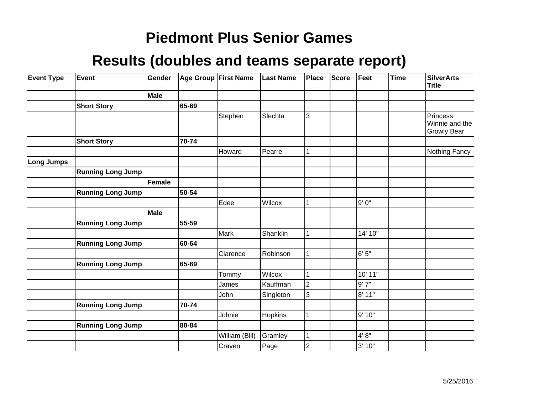| <b>Event Type</b> | Event                    | Gender |       | Age Group   First Name | <b>Last Name</b> | Place          | <b>Score</b> | Feet    | <b>Time</b> | <b>SilverArts</b><br><b>Title</b>                       |
|-------------------|--------------------------|--------|-------|------------------------|------------------|----------------|--------------|---------|-------------|---------------------------------------------------------|
|                   |                          | Male   |       |                        |                  |                |              |         |             |                                                         |
|                   | <b>Short Story</b>       |        | 65-69 |                        |                  |                |              |         |             |                                                         |
|                   |                          |        |       | Stephen                | Slechta          | 3              |              |         |             | <b>Princess</b><br>Winnie and the<br><b>Growly Bear</b> |
|                   | <b>Short Story</b>       |        | 70-74 |                        |                  |                |              |         |             |                                                         |
|                   |                          |        |       | Howard                 | Pearre           | 1              |              |         |             | Nothing Fancy                                           |
| <b>Long Jumps</b> |                          |        |       |                        |                  |                |              |         |             |                                                         |
|                   | <b>Running Long Jump</b> |        |       |                        |                  |                |              |         |             |                                                         |
|                   |                          | Female |       |                        |                  |                |              |         |             |                                                         |
|                   | <b>Running Long Jump</b> |        | 50-54 |                        |                  |                |              |         |             |                                                         |
|                   |                          |        |       | Edee                   | Wilcox           | 1              |              | 9'0''   |             |                                                         |
|                   |                          | Male   |       |                        |                  |                |              |         |             |                                                         |
|                   | <b>Running Long Jump</b> |        | 55-59 |                        |                  |                |              |         |             |                                                         |
|                   |                          |        |       | <b>Mark</b>            | Shanklin         | 1              |              | 14' 10" |             |                                                         |
|                   | <b>Running Long Jump</b> |        | 60-64 |                        |                  |                |              |         |             |                                                         |
|                   |                          |        |       | Clarence               | Robinson         | 1              |              | 6' 5"   |             |                                                         |
|                   | <b>Running Long Jump</b> |        | 65-69 |                        |                  |                |              |         |             |                                                         |
|                   |                          |        |       | Tommy                  | Wilcox           | $\mathbf 1$    |              | 10' 11" |             |                                                         |
|                   |                          |        |       | James                  | Kauffman         | $\overline{2}$ |              | 9'7''   |             |                                                         |
|                   |                          |        |       | John                   | Singleton        | 3              |              | 8' 11"  |             |                                                         |
|                   | <b>Running Long Jump</b> |        | 70-74 |                        |                  |                |              |         |             |                                                         |
|                   |                          |        |       | Johnie                 | Hopkins          | $\mathbf{1}$   |              | 9' 10"  |             |                                                         |
|                   | <b>Running Long Jump</b> |        | 80-84 |                        |                  |                |              |         |             |                                                         |
|                   |                          |        |       | William (Bill)         | Gramley          | $\mathbf{1}$   |              | 4' 8''  |             |                                                         |
|                   |                          |        |       | Craven                 | Page             | $\overline{c}$ |              | 3' 10"  |             |                                                         |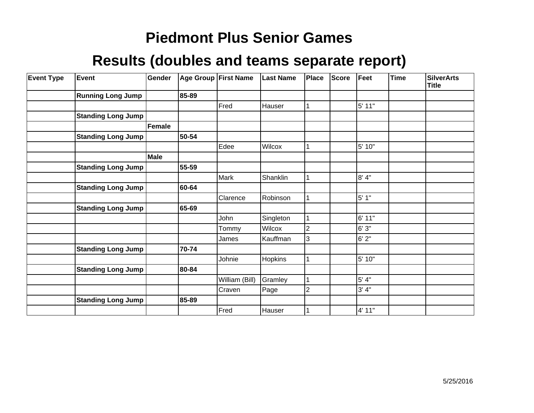| <b>Event Type</b> | Event                     | Gender      |       | Age Group First Name | <b>Last Name</b> | Place          | <b>Score</b> | Feet    | <b>Time</b> | <b>SilverArts</b><br><b>Title</b> |
|-------------------|---------------------------|-------------|-------|----------------------|------------------|----------------|--------------|---------|-------------|-----------------------------------|
|                   | <b>Running Long Jump</b>  |             | 85-89 |                      |                  |                |              |         |             |                                   |
|                   |                           |             |       | Fred                 | Hauser           |                |              | 5' 11"  |             |                                   |
|                   | <b>Standing Long Jump</b> |             |       |                      |                  |                |              |         |             |                                   |
|                   |                           | Female      |       |                      |                  |                |              |         |             |                                   |
|                   | <b>Standing Long Jump</b> |             | 50-54 |                      |                  |                |              |         |             |                                   |
|                   |                           |             |       | Edee                 | Wilcox           |                |              | 5' 10"  |             |                                   |
|                   |                           | <b>Male</b> |       |                      |                  |                |              |         |             |                                   |
|                   | <b>Standing Long Jump</b> |             | 55-59 |                      |                  |                |              |         |             |                                   |
|                   |                           |             |       | Mark                 | Shanklin         |                |              | 8'4"    |             |                                   |
|                   | <b>Standing Long Jump</b> |             | 60-64 |                      |                  |                |              |         |             |                                   |
|                   |                           |             |       | Clarence             | Robinson         |                |              | $5'1"$  |             |                                   |
|                   | <b>Standing Long Jump</b> |             | 65-69 |                      |                  |                |              |         |             |                                   |
|                   |                           |             |       | John                 | Singleton        |                |              | 6' 11"  |             |                                   |
|                   |                           |             |       | Tommy                | Wilcox           | $\overline{2}$ |              | 6'3''   |             |                                   |
|                   |                           |             |       | James                | Kauffman         | 3              |              | 6'2"    |             |                                   |
|                   | <b>Standing Long Jump</b> |             | 70-74 |                      |                  |                |              |         |             |                                   |
|                   |                           |             |       | Johnie               | Hopkins          |                |              | 5' 10"  |             |                                   |
|                   | <b>Standing Long Jump</b> |             | 80-84 |                      |                  |                |              |         |             |                                   |
|                   |                           |             |       | William (Bill)       | Gramley          |                |              | $5' 4"$ |             |                                   |
|                   |                           |             |       | Craven               | Page             | $\overline{2}$ |              | 3' 4''  |             |                                   |
|                   | <b>Standing Long Jump</b> |             | 85-89 |                      |                  |                |              |         |             |                                   |
|                   |                           |             |       | Fred                 | Hauser           |                |              | 4' 11"  |             |                                   |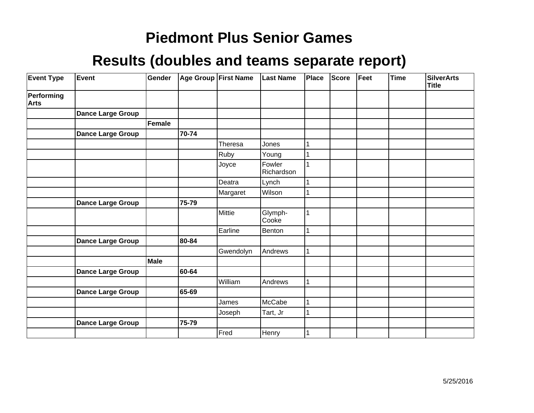| <b>Event Type</b>         | Event                    | Gender |       | Age Group First Name | <b>Last Name</b>     | Place | <b>Score</b> | Feet | <b>Time</b> | <b>SilverArts</b><br><b>Title</b> |
|---------------------------|--------------------------|--------|-------|----------------------|----------------------|-------|--------------|------|-------------|-----------------------------------|
| Performing<br><b>Arts</b> |                          |        |       |                      |                      |       |              |      |             |                                   |
|                           | <b>Dance Large Group</b> |        |       |                      |                      |       |              |      |             |                                   |
|                           |                          | Female |       |                      |                      |       |              |      |             |                                   |
|                           | Dance Large Group        |        | 70-74 |                      |                      |       |              |      |             |                                   |
|                           |                          |        |       | Theresa              | Jones                | 1     |              |      |             |                                   |
|                           |                          |        |       | Ruby                 | Young                |       |              |      |             |                                   |
|                           |                          |        |       | Joyce                | Fowler<br>Richardson |       |              |      |             |                                   |
|                           |                          |        |       | Deatra               | Lynch                |       |              |      |             |                                   |
|                           |                          |        |       | Margaret             | Wilson               |       |              |      |             |                                   |
|                           | <b>Dance Large Group</b> |        | 75-79 |                      |                      |       |              |      |             |                                   |
|                           |                          |        |       | Mittie               | Glymph-<br>Cooke     |       |              |      |             |                                   |
|                           |                          |        |       | Earline              | Benton               |       |              |      |             |                                   |
|                           | <b>Dance Large Group</b> |        | 80-84 |                      |                      |       |              |      |             |                                   |
|                           |                          |        |       | Gwendolyn            | Andrews              |       |              |      |             |                                   |
|                           |                          | Male   |       |                      |                      |       |              |      |             |                                   |
|                           | <b>Dance Large Group</b> |        | 60-64 |                      |                      |       |              |      |             |                                   |
|                           |                          |        |       | William              | Andrews              |       |              |      |             |                                   |
|                           | <b>Dance Large Group</b> |        | 65-69 |                      |                      |       |              |      |             |                                   |
|                           |                          |        |       | James                | McCabe               | 1     |              |      |             |                                   |
|                           |                          |        |       | Joseph               | Tart, Jr             |       |              |      |             |                                   |
|                           | <b>Dance Large Group</b> |        | 75-79 |                      |                      |       |              |      |             |                                   |
|                           |                          |        |       | Fred                 | Henry                |       |              |      |             |                                   |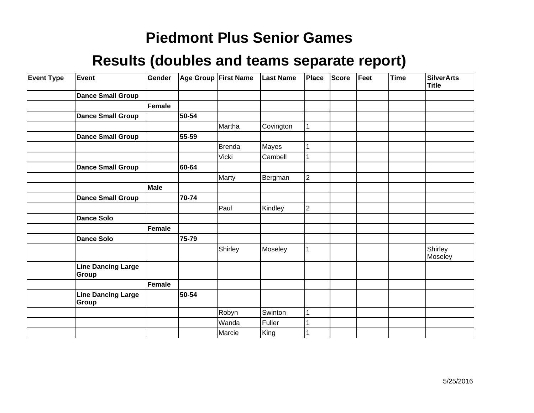| <b>Event Type</b> | Event                              | Gender |       | Age Group First Name | <b>Last Name</b> | Place          | <b>Score</b> | Feet | <b>Time</b> | <b>SilverArts</b><br><b>Title</b> |
|-------------------|------------------------------------|--------|-------|----------------------|------------------|----------------|--------------|------|-------------|-----------------------------------|
|                   | <b>Dance Small Group</b>           |        |       |                      |                  |                |              |      |             |                                   |
|                   |                                    | Female |       |                      |                  |                |              |      |             |                                   |
|                   | <b>Dance Small Group</b>           |        | 50-54 |                      |                  |                |              |      |             |                                   |
|                   |                                    |        |       | Martha               | Covington        | 1              |              |      |             |                                   |
|                   | <b>Dance Small Group</b>           |        | 55-59 |                      |                  |                |              |      |             |                                   |
|                   |                                    |        |       | <b>Brenda</b>        | Mayes            |                |              |      |             |                                   |
|                   |                                    |        |       | Vicki                | Cambell          |                |              |      |             |                                   |
|                   | <b>Dance Small Group</b>           |        | 60-64 |                      |                  |                |              |      |             |                                   |
|                   |                                    |        |       | Marty                | Bergman          | $\overline{2}$ |              |      |             |                                   |
|                   |                                    | Male   |       |                      |                  |                |              |      |             |                                   |
|                   | <b>Dance Small Group</b>           |        | 70-74 |                      |                  |                |              |      |             |                                   |
|                   |                                    |        |       | Paul                 | Kindley          | $\overline{2}$ |              |      |             |                                   |
|                   | <b>Dance Solo</b>                  |        |       |                      |                  |                |              |      |             |                                   |
|                   |                                    | Female |       |                      |                  |                |              |      |             |                                   |
|                   | <b>Dance Solo</b>                  |        | 75-79 |                      |                  |                |              |      |             |                                   |
|                   |                                    |        |       | Shirley              | Moseley          | 1              |              |      |             | Shirley<br>Moseley                |
|                   | <b>Line Dancing Large</b><br>Group |        |       |                      |                  |                |              |      |             |                                   |
|                   |                                    | Female |       |                      |                  |                |              |      |             |                                   |
|                   | <b>Line Dancing Large</b><br>Group |        | 50-54 |                      |                  |                |              |      |             |                                   |
|                   |                                    |        |       | Robyn                | Swinton          |                |              |      |             |                                   |
|                   |                                    |        |       | Wanda                | Fuller           |                |              |      |             |                                   |
|                   |                                    |        |       | Marcie               | King             |                |              |      |             |                                   |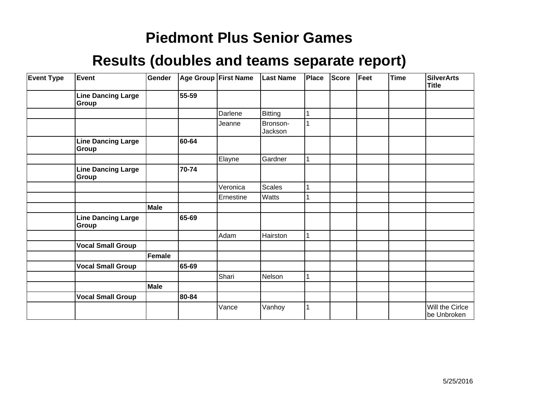| <b>Event Type</b> | <b>Event</b>                              | Gender |       | Age Group First Name | <b>Last Name</b>    | Place        | Score | Feet | <b>Time</b> | <b>SilverArts</b><br><b>Title</b> |
|-------------------|-------------------------------------------|--------|-------|----------------------|---------------------|--------------|-------|------|-------------|-----------------------------------|
|                   | <b>Line Dancing Large</b><br><b>Group</b> |        | 55-59 |                      |                     |              |       |      |             |                                   |
|                   |                                           |        |       | Darlene              | Bitting             |              |       |      |             |                                   |
|                   |                                           |        |       | Jeanne               | Bronson-<br>Jackson |              |       |      |             |                                   |
|                   | <b>Line Dancing Large</b><br>Group        |        | 60-64 |                      |                     |              |       |      |             |                                   |
|                   |                                           |        |       | Elayne               | Gardner             | $\mathbf{1}$ |       |      |             |                                   |
|                   | <b>Line Dancing Large</b><br>Group        |        | 70-74 |                      |                     |              |       |      |             |                                   |
|                   |                                           |        |       | Veronica             | <b>Scales</b>       | 1            |       |      |             |                                   |
|                   |                                           |        |       | Ernestine            | Watts               |              |       |      |             |                                   |
|                   |                                           | Male   |       |                      |                     |              |       |      |             |                                   |
|                   | <b>Line Dancing Large</b><br>Group        |        | 65-69 |                      |                     |              |       |      |             |                                   |
|                   |                                           |        |       | Adam                 | Hairston            |              |       |      |             |                                   |
|                   | <b>Vocal Small Group</b>                  |        |       |                      |                     |              |       |      |             |                                   |
|                   |                                           | Female |       |                      |                     |              |       |      |             |                                   |
|                   | <b>Vocal Small Group</b>                  |        | 65-69 |                      |                     |              |       |      |             |                                   |
|                   |                                           |        |       | Shari                | Nelson              |              |       |      |             |                                   |
|                   |                                           | Male   |       |                      |                     |              |       |      |             |                                   |
|                   | <b>Vocal Small Group</b>                  |        | 80-84 |                      |                     |              |       |      |             |                                   |
|                   |                                           |        |       | Vance                | Vanhoy              |              |       |      |             | Will the Cirlce<br>be Unbroken    |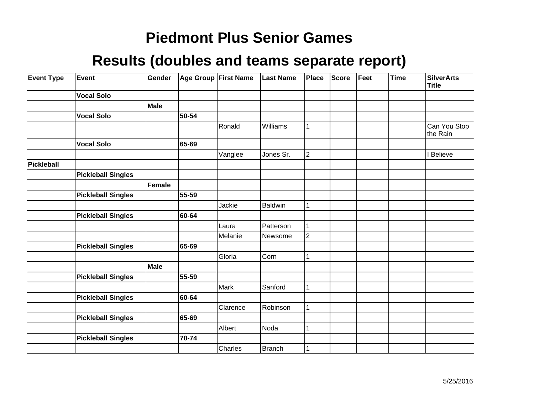| <b>Event Type</b> | Event                     | Gender      |           | Age Group First Name | <b>Last Name</b> | Place          | <b>Score</b> | Feet | <b>Time</b> | <b>SilverArts</b><br><b>Title</b> |
|-------------------|---------------------------|-------------|-----------|----------------------|------------------|----------------|--------------|------|-------------|-----------------------------------|
|                   | <b>Vocal Solo</b>         |             |           |                      |                  |                |              |      |             |                                   |
|                   |                           | Male        |           |                      |                  |                |              |      |             |                                   |
|                   | <b>Vocal Solo</b>         |             | 50-54     |                      |                  |                |              |      |             |                                   |
|                   |                           |             |           | Ronald               | Williams         |                |              |      |             | Can You Stop<br>the Rain          |
|                   | <b>Vocal Solo</b>         |             | 65-69     |                      |                  |                |              |      |             |                                   |
|                   |                           |             |           | Vanglee              | Jones Sr.        | $\overline{2}$ |              |      |             | <b>Believe</b>                    |
| Pickleball        |                           |             |           |                      |                  |                |              |      |             |                                   |
|                   | <b>Pickleball Singles</b> |             |           |                      |                  |                |              |      |             |                                   |
|                   |                           | Female      |           |                      |                  |                |              |      |             |                                   |
|                   | <b>Pickleball Singles</b> |             | $55 - 59$ |                      |                  |                |              |      |             |                                   |
|                   |                           |             |           | Jackie               | Baldwin          |                |              |      |             |                                   |
|                   | <b>Pickleball Singles</b> |             | 60-64     |                      |                  |                |              |      |             |                                   |
|                   |                           |             |           | Laura                | Patterson        |                |              |      |             |                                   |
|                   |                           |             |           | Melanie              | Newsome          | $\overline{2}$ |              |      |             |                                   |
|                   | <b>Pickleball Singles</b> |             | 65-69     |                      |                  |                |              |      |             |                                   |
|                   |                           |             |           | Gloria               | Corn             |                |              |      |             |                                   |
|                   |                           | <b>Male</b> |           |                      |                  |                |              |      |             |                                   |
|                   | <b>Pickleball Singles</b> |             | 55-59     |                      |                  |                |              |      |             |                                   |
|                   |                           |             |           | Mark                 | Sanford          |                |              |      |             |                                   |
|                   | <b>Pickleball Singles</b> |             | 60-64     |                      |                  |                |              |      |             |                                   |
|                   |                           |             |           | Clarence             | Robinson         |                |              |      |             |                                   |
|                   | <b>Pickleball Singles</b> |             | 65-69     |                      |                  |                |              |      |             |                                   |
|                   |                           |             |           | Albert               | Noda             |                |              |      |             |                                   |
|                   | <b>Pickleball Singles</b> |             | 70-74     |                      |                  |                |              |      |             |                                   |
|                   |                           |             |           | Charles              | <b>Branch</b>    |                |              |      |             |                                   |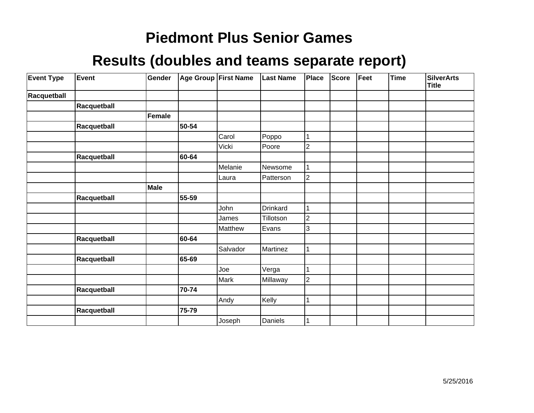| <b>Event Type</b> | Event       | Gender |       | <b>Age Group First Name</b> | <b>Last Name</b> | Place          | Score | Feet | <b>Time</b> | <b>SilverArts</b><br><b>Title</b> |
|-------------------|-------------|--------|-------|-----------------------------|------------------|----------------|-------|------|-------------|-----------------------------------|
| Racquetball       |             |        |       |                             |                  |                |       |      |             |                                   |
|                   | Racquetball |        |       |                             |                  |                |       |      |             |                                   |
|                   |             | Female |       |                             |                  |                |       |      |             |                                   |
|                   | Racquetball |        | 50-54 |                             |                  |                |       |      |             |                                   |
|                   |             |        |       | Carol                       | Poppo            | 1              |       |      |             |                                   |
|                   |             |        |       | Vicki                       | Poore            | $\overline{c}$ |       |      |             |                                   |
|                   | Racquetball |        | 60-64 |                             |                  |                |       |      |             |                                   |
|                   |             |        |       | Melanie                     | Newsome          |                |       |      |             |                                   |
|                   |             |        |       | Laura                       | Patterson        | $\overline{c}$ |       |      |             |                                   |
|                   |             | Male   |       |                             |                  |                |       |      |             |                                   |
|                   | Racquetball |        | 55-59 |                             |                  |                |       |      |             |                                   |
|                   |             |        |       | John                        | Drinkard         | 1              |       |      |             |                                   |
|                   |             |        |       | James                       | Tillotson        | $\overline{c}$ |       |      |             |                                   |
|                   |             |        |       | Matthew                     | Evans            | 3              |       |      |             |                                   |
|                   | Racquetball |        | 60-64 |                             |                  |                |       |      |             |                                   |
|                   |             |        |       | Salvador                    | Martinez         | 1              |       |      |             |                                   |
|                   | Racquetball |        | 65-69 |                             |                  |                |       |      |             |                                   |
|                   |             |        |       | Joe                         | Verga            |                |       |      |             |                                   |
|                   |             |        |       | Mark                        | Millaway         | $\overline{c}$ |       |      |             |                                   |
|                   | Racquetball |        | 70-74 |                             |                  |                |       |      |             |                                   |
|                   |             |        |       | Andy                        | Kelly            |                |       |      |             |                                   |
|                   | Racquetball |        | 75-79 |                             |                  |                |       |      |             |                                   |
|                   |             |        |       | Joseph                      | Daniels          |                |       |      |             |                                   |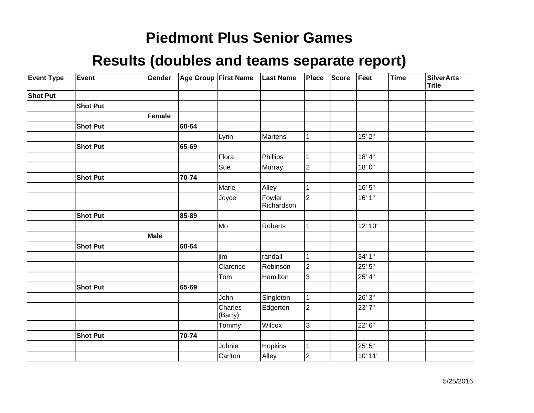| <b>Event Type</b> | Event           | Gender      |       | Age Group First Name | <b>Last Name</b>     | Place          | <b>Score</b> | Feet    | Time | <b>SilverArts</b><br><b>Title</b> |
|-------------------|-----------------|-------------|-------|----------------------|----------------------|----------------|--------------|---------|------|-----------------------------------|
| <b>Shot Put</b>   |                 |             |       |                      |                      |                |              |         |      |                                   |
|                   | <b>Shot Put</b> |             |       |                      |                      |                |              |         |      |                                   |
|                   |                 | Female      |       |                      |                      |                |              |         |      |                                   |
|                   | <b>Shot Put</b> |             | 60-64 |                      |                      |                |              |         |      |                                   |
|                   |                 |             |       | Lynn                 | Martens              | $\mathbf 1$    |              | 15' 2"  |      |                                   |
|                   | <b>Shot Put</b> |             | 65-69 |                      |                      |                |              |         |      |                                   |
|                   |                 |             |       | Flora                | Phillips             | 1              |              | 18' 4"  |      |                                   |
|                   |                 |             |       | Sue                  | Murray               | $\overline{2}$ |              | 18'0"   |      |                                   |
|                   | <b>Shot Put</b> |             | 70-74 |                      |                      |                |              |         |      |                                   |
|                   |                 |             |       | Marie                | Alley                | 1              |              | 16' 5"  |      |                                   |
|                   |                 |             |       | Joyce                | Fowler<br>Richardson | $\overline{2}$ |              | 16' 1"  |      |                                   |
|                   | <b>Shot Put</b> |             | 85-89 |                      |                      |                |              |         |      |                                   |
|                   |                 |             |       | Mo]                  | Roberts              | $\mathbf{1}$   |              | 12' 10" |      |                                   |
|                   |                 | <b>Male</b> |       |                      |                      |                |              |         |      |                                   |
|                   | <b>Shot Put</b> |             | 60-64 |                      |                      |                |              |         |      |                                   |
|                   |                 |             |       | <b>ljim</b>          | randall              | 1              |              | 34' 1"  |      |                                   |
|                   |                 |             |       | Clarence             | Robinson             | $\overline{2}$ |              | 25'5''  |      |                                   |
|                   |                 |             |       | Tom                  | Hamilton             | 3              |              | 25' 4"  |      |                                   |
|                   | <b>Shot Put</b> |             | 65-69 |                      |                      |                |              |         |      |                                   |
|                   |                 |             |       | John                 | Singleton            | $\mathbf{1}$   |              | 26' 3"  |      |                                   |
|                   |                 |             |       | Charles<br>(Barry)   | Edgerton             | $\overline{c}$ |              | 23'7"   |      |                                   |
|                   |                 |             |       | Tommy                | Wilcox               | 3              |              | 22' 6"  |      |                                   |
|                   | <b>Shot Put</b> |             | 70-74 |                      |                      |                |              |         |      |                                   |
|                   |                 |             |       | Johnie               | Hopkins              | $\mathbf{1}$   |              | 25' 5"  |      |                                   |
|                   |                 |             |       | Carlton              | Alley                | $\overline{2}$ |              | 10' 11" |      |                                   |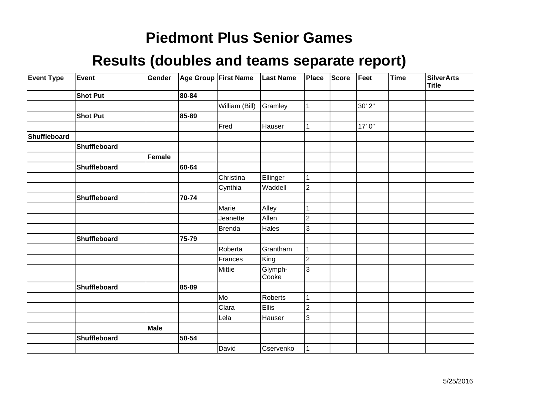| <b>Event Type</b> | Event               | Gender |       | Age Group First Name | <b>Last Name</b> | Place          | <b>Score</b> | Feet   | <b>Time</b> | <b>SilverArts</b><br><b>Title</b> |
|-------------------|---------------------|--------|-------|----------------------|------------------|----------------|--------------|--------|-------------|-----------------------------------|
|                   | <b>Shot Put</b>     |        | 80-84 |                      |                  |                |              |        |             |                                   |
|                   |                     |        |       | William (Bill)       | Gramley          | $\mathbf{1}$   |              | 30' 2" |             |                                   |
|                   | <b>Shot Put</b>     |        | 85-89 |                      |                  |                |              |        |             |                                   |
|                   |                     |        |       | Fred                 | Hauser           | 1              |              | 17' 0" |             |                                   |
| Shuffleboard      |                     |        |       |                      |                  |                |              |        |             |                                   |
|                   | Shuffleboard        |        |       |                      |                  |                |              |        |             |                                   |
|                   |                     | Female |       |                      |                  |                |              |        |             |                                   |
|                   | Shuffleboard        |        | 60-64 |                      |                  |                |              |        |             |                                   |
|                   |                     |        |       | Christina            | Ellinger         | 1              |              |        |             |                                   |
|                   |                     |        |       | Cynthia              | Waddell          | $\overline{2}$ |              |        |             |                                   |
|                   | <b>Shuffleboard</b> |        | 70-74 |                      |                  |                |              |        |             |                                   |
|                   |                     |        |       | Marie                | Alley            | 1              |              |        |             |                                   |
|                   |                     |        |       | Jeanette             | Allen            | $\overline{2}$ |              |        |             |                                   |
|                   |                     |        |       | <b>Brenda</b>        | Hales            | 3              |              |        |             |                                   |
|                   | Shuffleboard        |        | 75-79 |                      |                  |                |              |        |             |                                   |
|                   |                     |        |       | Roberta              | Grantham         |                |              |        |             |                                   |
|                   |                     |        |       | Frances              | King             | $\overline{c}$ |              |        |             |                                   |
|                   |                     |        |       | Mittie               | Glymph-<br>Cooke | 3              |              |        |             |                                   |
|                   | Shuffleboard        |        | 85-89 |                      |                  |                |              |        |             |                                   |
|                   |                     |        |       | Mo                   | Roberts          | 1              |              |        |             |                                   |
|                   |                     |        |       | Clara                | Ellis            | $\overline{c}$ |              |        |             |                                   |
|                   |                     |        |       | Lela                 | Hauser           | 3              |              |        |             |                                   |
|                   |                     | Male   |       |                      |                  |                |              |        |             |                                   |
|                   | Shuffleboard        |        | 50-54 |                      |                  |                |              |        |             |                                   |
|                   |                     |        |       | David                | Cservenko        | 1              |              |        |             |                                   |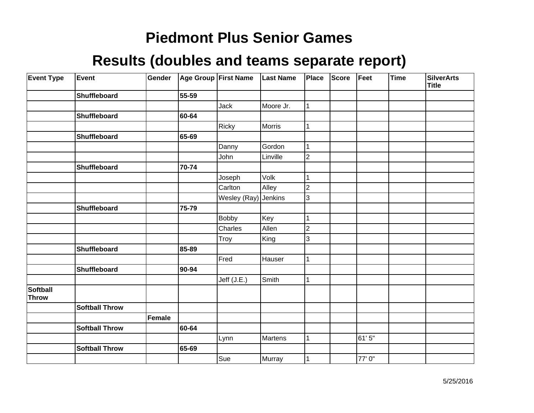| <b>Event Type</b>               | Event                 | Gender |       | Age Group First Name | <b>Last Name</b> | Place          | <b>Score</b> | Feet  | Time | <b>SilverArts</b><br><b>Title</b> |
|---------------------------------|-----------------------|--------|-------|----------------------|------------------|----------------|--------------|-------|------|-----------------------------------|
|                                 | Shuffleboard          |        | 55-59 |                      |                  |                |              |       |      |                                   |
|                                 |                       |        |       | Jack                 | Moore Jr.        | 1              |              |       |      |                                   |
|                                 | Shuffleboard          |        | 60-64 |                      |                  |                |              |       |      |                                   |
|                                 |                       |        |       | Ricky                | Morris           | 1              |              |       |      |                                   |
|                                 | Shuffleboard          |        | 65-69 |                      |                  |                |              |       |      |                                   |
|                                 |                       |        |       | Danny                | Gordon           | 1              |              |       |      |                                   |
|                                 |                       |        |       | John                 | Linville         | $\overline{2}$ |              |       |      |                                   |
|                                 | <b>Shuffleboard</b>   |        | 70-74 |                      |                  |                |              |       |      |                                   |
|                                 |                       |        |       | Joseph               | Volk             | 1              |              |       |      |                                   |
|                                 |                       |        |       | Carlton              | Alley            | $\overline{2}$ |              |       |      |                                   |
|                                 |                       |        |       | Wesley (Ray)         | Jenkins          | 3              |              |       |      |                                   |
|                                 | Shuffleboard          |        | 75-79 |                      |                  |                |              |       |      |                                   |
|                                 |                       |        |       | <b>Bobby</b>         | Key              |                |              |       |      |                                   |
|                                 |                       |        |       | Charles              | Allen            | $\overline{2}$ |              |       |      |                                   |
|                                 |                       |        |       | Troy                 | King             | 3              |              |       |      |                                   |
|                                 | Shuffleboard          |        | 85-89 |                      |                  |                |              |       |      |                                   |
|                                 |                       |        |       | Fred                 | Hauser           | 1              |              |       |      |                                   |
|                                 | Shuffleboard          |        | 90-94 |                      |                  |                |              |       |      |                                   |
|                                 |                       |        |       | Jeff (J.E.)          | Smith            | 1              |              |       |      |                                   |
| <b>Softball</b><br><b>Throw</b> |                       |        |       |                      |                  |                |              |       |      |                                   |
|                                 | <b>Softball Throw</b> |        |       |                      |                  |                |              |       |      |                                   |
|                                 |                       | Female |       |                      |                  |                |              |       |      |                                   |
|                                 | <b>Softball Throw</b> |        | 60-64 |                      |                  |                |              |       |      |                                   |
|                                 |                       |        |       | Lynn                 | Martens          | $\mathbf{1}$   |              | 61'5" |      |                                   |
|                                 | <b>Softball Throw</b> |        | 65-69 |                      |                  |                |              |       |      |                                   |
|                                 |                       |        |       | Sue                  | Murray           | 1              |              | 77'0" |      |                                   |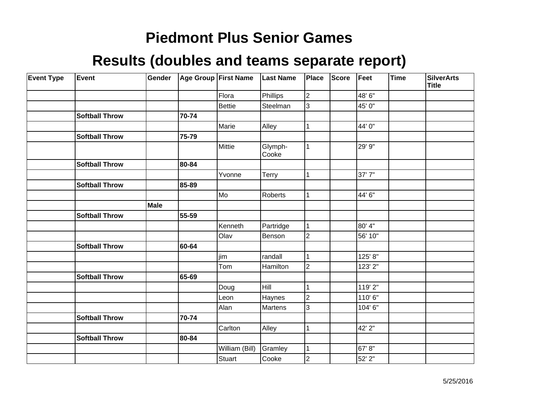| <b>Event Type</b> | Event                 | Gender |       | Age Group First Name | <b>Last Name</b> | Place                   | <b>Score</b> | Feet    | Time | <b>SilverArts</b><br><b>Title</b> |
|-------------------|-----------------------|--------|-------|----------------------|------------------|-------------------------|--------------|---------|------|-----------------------------------|
|                   |                       |        |       | Flora                | Phillips         | $\overline{\mathbf{c}}$ |              | 48' 6"  |      |                                   |
|                   |                       |        |       | <b>Bettie</b>        | Steelman         | 3                       |              | 45' 0"  |      |                                   |
|                   | <b>Softball Throw</b> |        | 70-74 |                      |                  |                         |              |         |      |                                   |
|                   |                       |        |       | Marie                | Alley            |                         |              | 44' 0"  |      |                                   |
|                   | <b>Softball Throw</b> |        | 75-79 |                      |                  |                         |              |         |      |                                   |
|                   |                       |        |       | Mittie               | Glymph-<br>Cooke | 1                       |              | 29' 9"  |      |                                   |
|                   | <b>Softball Throw</b> |        | 80-84 |                      |                  |                         |              |         |      |                                   |
|                   |                       |        |       | Yvonne               | <b>Terry</b>     |                         |              | 37'7"   |      |                                   |
|                   | <b>Softball Throw</b> |        | 85-89 |                      |                  |                         |              |         |      |                                   |
|                   |                       |        |       | Mo                   | Roberts          |                         |              | 44' 6"  |      |                                   |
|                   |                       | Male   |       |                      |                  |                         |              |         |      |                                   |
|                   | <b>Softball Throw</b> |        | 55-59 |                      |                  |                         |              |         |      |                                   |
|                   |                       |        |       | Kenneth              | Partridge        |                         |              | 80' 4"  |      |                                   |
|                   |                       |        |       | Olav                 | Benson           | $\overline{2}$          |              | 56' 10" |      |                                   |
|                   | <b>Softball Throw</b> |        | 60-64 |                      |                  |                         |              |         |      |                                   |
|                   |                       |        |       | jim                  | randall          |                         |              | 125' 8" |      |                                   |
|                   |                       |        |       | Tom                  | Hamilton         | $\overline{c}$          |              | 123' 2" |      |                                   |
|                   | <b>Softball Throw</b> |        | 65-69 |                      |                  |                         |              |         |      |                                   |
|                   |                       |        |       | Doug                 | Hill             |                         |              | 119' 2" |      |                                   |
|                   |                       |        |       | Leon                 | Haynes           | $\overline{2}$          |              | 110'6"  |      |                                   |
|                   |                       |        |       | Alan                 | Martens          | 3                       |              | 104' 6" |      |                                   |
|                   | <b>Softball Throw</b> |        | 70-74 |                      |                  |                         |              |         |      |                                   |
|                   |                       |        |       | Carlton              | Alley            |                         |              | 42' 2"  |      |                                   |
|                   | <b>Softball Throw</b> |        | 80-84 |                      |                  |                         |              |         |      |                                   |
|                   |                       |        |       | William (Bill)       | Gramley          | 1                       |              | 67'8"   |      |                                   |
|                   |                       |        |       | <b>Stuart</b>        | Cooke            | $\overline{c}$          |              | 52' 2"  |      |                                   |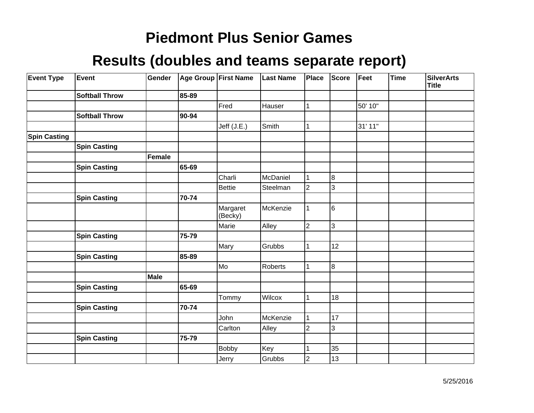| <b>Event Type</b>   | Event                 | Gender      |       | Age Group First Name | <b>Last Name</b> | Place          | <b>Score</b>   | Feet    | Time | <b>SilverArts</b><br><b>Title</b> |
|---------------------|-----------------------|-------------|-------|----------------------|------------------|----------------|----------------|---------|------|-----------------------------------|
|                     | <b>Softball Throw</b> |             | 85-89 |                      |                  |                |                |         |      |                                   |
|                     |                       |             |       | Fred                 | Hauser           | 1              |                | 50' 10" |      |                                   |
|                     | <b>Softball Throw</b> |             | 90-94 |                      |                  |                |                |         |      |                                   |
|                     |                       |             |       | Jeff (J.E.)          | Smith            | 1              |                | 31' 11" |      |                                   |
| <b>Spin Casting</b> |                       |             |       |                      |                  |                |                |         |      |                                   |
|                     | <b>Spin Casting</b>   |             |       |                      |                  |                |                |         |      |                                   |
|                     |                       | Female      |       |                      |                  |                |                |         |      |                                   |
|                     | <b>Spin Casting</b>   |             | 65-69 |                      |                  |                |                |         |      |                                   |
|                     |                       |             |       | Charli               | McDaniel         | 1              | 8              |         |      |                                   |
|                     |                       |             |       | <b>Bettie</b>        | Steelman         | $\overline{2}$ | 3              |         |      |                                   |
|                     | <b>Spin Casting</b>   |             | 70-74 |                      |                  |                |                |         |      |                                   |
|                     |                       |             |       | Margaret<br>(Becky)  | McKenzie         | 1              | 6              |         |      |                                   |
|                     |                       |             |       | Marie                | Alley            | $\overline{c}$ | $\overline{3}$ |         |      |                                   |
|                     | <b>Spin Casting</b>   |             | 75-79 |                      |                  |                |                |         |      |                                   |
|                     |                       |             |       | Mary                 | Grubbs           | 1              | 12             |         |      |                                   |
|                     | <b>Spin Casting</b>   |             | 85-89 |                      |                  |                |                |         |      |                                   |
|                     |                       |             |       | Mo                   | Roberts          | 1              | 8              |         |      |                                   |
|                     |                       | <b>Male</b> |       |                      |                  |                |                |         |      |                                   |
|                     | <b>Spin Casting</b>   |             | 65-69 |                      |                  |                |                |         |      |                                   |
|                     |                       |             |       | Tommy                | Wilcox           |                | 18             |         |      |                                   |
|                     | <b>Spin Casting</b>   |             | 70-74 |                      |                  |                |                |         |      |                                   |
|                     |                       |             |       | John                 | McKenzie         | 1              | 17             |         |      |                                   |
|                     |                       |             |       | Carlton              | Alley            | 2              | $\overline{3}$ |         |      |                                   |
|                     | <b>Spin Casting</b>   |             | 75-79 |                      |                  |                |                |         |      |                                   |
|                     |                       |             |       | <b>Bobby</b>         | Key              | 1              | 35             |         |      |                                   |
|                     |                       |             |       | Jerry                | Grubbs           | $\overline{c}$ | 13             |         |      |                                   |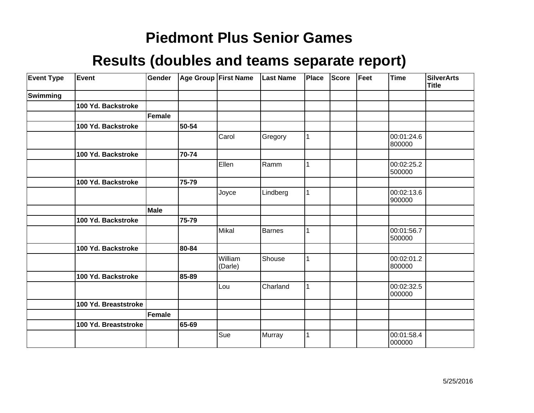| <b>Event Type</b> | Event                | Gender      |       | Age Group First Name | <b>Last Name</b> | Place | <b>Score</b> | Feet | <b>Time</b>          | <b>SilverArts</b><br><b>Title</b> |
|-------------------|----------------------|-------------|-------|----------------------|------------------|-------|--------------|------|----------------------|-----------------------------------|
| Swimming          |                      |             |       |                      |                  |       |              |      |                      |                                   |
|                   | 100 Yd. Backstroke   |             |       |                      |                  |       |              |      |                      |                                   |
|                   |                      | Female      |       |                      |                  |       |              |      |                      |                                   |
|                   | 100 Yd. Backstroke   |             | 50-54 |                      |                  |       |              |      |                      |                                   |
|                   |                      |             |       | Carol                | Gregory          |       |              |      | 00:01:24.6<br>800000 |                                   |
|                   | 100 Yd. Backstroke   |             | 70-74 |                      |                  |       |              |      |                      |                                   |
|                   |                      |             |       | Ellen                | Ramm             |       |              |      | 00:02:25.2<br>500000 |                                   |
|                   | 100 Yd. Backstroke   |             | 75-79 |                      |                  |       |              |      |                      |                                   |
|                   |                      |             |       | Joyce                | Lindberg         |       |              |      | 00:02:13.6<br>900000 |                                   |
|                   |                      | <b>Male</b> |       |                      |                  |       |              |      |                      |                                   |
|                   | 100 Yd. Backstroke   |             | 75-79 |                      |                  |       |              |      |                      |                                   |
|                   |                      |             |       | Mikal                | Barnes           |       |              |      | 00:01:56.7<br>500000 |                                   |
|                   | 100 Yd. Backstroke   |             | 80-84 |                      |                  |       |              |      |                      |                                   |
|                   |                      |             |       | William<br>(Darle)   | Shouse           |       |              |      | 00:02:01.2<br>800000 |                                   |
|                   | 100 Yd. Backstroke   |             | 85-89 |                      |                  |       |              |      |                      |                                   |
|                   |                      |             |       | Lou                  | Charland         | 1     |              |      | 00:02:32.5<br>000000 |                                   |
|                   | 100 Yd. Breaststroke |             |       |                      |                  |       |              |      |                      |                                   |
|                   |                      | Female      |       |                      |                  |       |              |      |                      |                                   |
|                   | 100 Yd. Breaststroke |             | 65-69 |                      |                  |       |              |      |                      |                                   |
|                   |                      |             |       | Sue                  | Murray           |       |              |      | 00:01:58.4<br>000000 |                                   |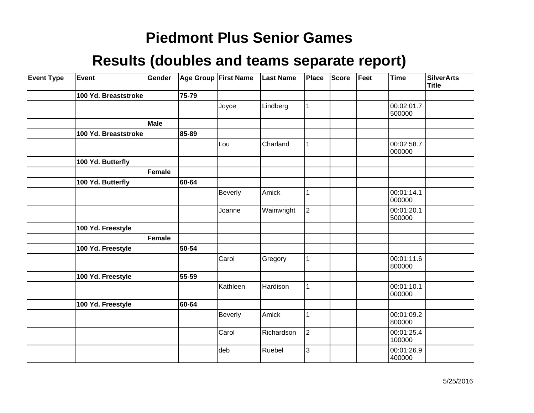| <b>Event Type</b> | Event                | Gender |           | Age Group First Name | <b>Last Name</b> | <b>Place</b>   | <b>Score</b> | Feet | <b>Time</b>          | <b>SilverArts</b><br><b>Title</b> |
|-------------------|----------------------|--------|-----------|----------------------|------------------|----------------|--------------|------|----------------------|-----------------------------------|
|                   | 100 Yd. Breaststroke |        | 75-79     |                      |                  |                |              |      |                      |                                   |
|                   |                      |        |           | Joyce                | Lindberg         |                |              |      | 00:02:01.7<br>500000 |                                   |
|                   |                      | Male   |           |                      |                  |                |              |      |                      |                                   |
|                   | 100 Yd. Breaststroke |        | 85-89     |                      |                  |                |              |      |                      |                                   |
|                   |                      |        |           | Lou                  | Charland         |                |              |      | 00:02:58.7<br>000000 |                                   |
|                   | 100 Yd. Butterfly    |        |           |                      |                  |                |              |      |                      |                                   |
|                   |                      | Female |           |                      |                  |                |              |      |                      |                                   |
|                   | 100 Yd. Butterfly    |        | 60-64     |                      |                  |                |              |      |                      |                                   |
|                   |                      |        |           | <b>Beverly</b>       | Amick            |                |              |      | 00:01:14.1<br>000000 |                                   |
|                   |                      |        |           | Joanne               | Wainwright       | $\overline{2}$ |              |      | 00:01:20.1<br>500000 |                                   |
|                   | 100 Yd. Freestyle    |        |           |                      |                  |                |              |      |                      |                                   |
|                   |                      | Female |           |                      |                  |                |              |      |                      |                                   |
|                   | 100 Yd. Freestyle    |        | 50-54     |                      |                  |                |              |      |                      |                                   |
|                   |                      |        |           | Carol                | Gregory          |                |              |      | 00:01:11.6<br>800000 |                                   |
|                   | 100 Yd. Freestyle    |        | $55 - 59$ |                      |                  |                |              |      |                      |                                   |
|                   |                      |        |           | Kathleen             | Hardison         | 1              |              |      | 00:01:10.1<br>000000 |                                   |
|                   | 100 Yd. Freestyle    |        | 60-64     |                      |                  |                |              |      |                      |                                   |
|                   |                      |        |           | <b>Beverly</b>       | Amick            |                |              |      | 00:01:09.2<br>800000 |                                   |
|                   |                      |        |           | Carol                | Richardson       | $\overline{2}$ |              |      | 00:01:25.4<br>100000 |                                   |
|                   |                      |        |           | deb                  | Ruebel           | 3              |              |      | 00:01:26.9<br>400000 |                                   |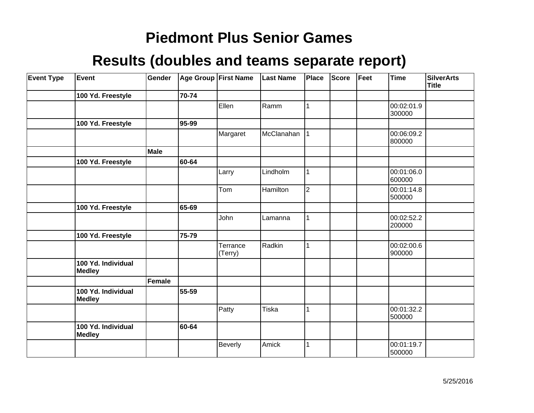| <b>Event Type</b> | Event                               | Gender      |       | Age Group First Name | <b>Last Name</b> | Place          | <b>Score</b> | Feet | Time                 | <b>SilverArts</b><br>Title |
|-------------------|-------------------------------------|-------------|-------|----------------------|------------------|----------------|--------------|------|----------------------|----------------------------|
|                   | 100 Yd. Freestyle                   |             | 70-74 |                      |                  |                |              |      |                      |                            |
|                   |                                     |             |       | Ellen                | Ramm             |                |              |      | 00:02:01.9<br>300000 |                            |
|                   | 100 Yd. Freestyle                   |             | 95-99 |                      |                  |                |              |      |                      |                            |
|                   |                                     |             |       | Margaret             | McClanahan       | 1              |              |      | 00:06:09.2<br>800000 |                            |
|                   |                                     | <b>Male</b> |       |                      |                  |                |              |      |                      |                            |
|                   | 100 Yd. Freestyle                   |             | 60-64 |                      |                  |                |              |      |                      |                            |
|                   |                                     |             |       | Larry                | Lindholm         | 1              |              |      | 00:01:06.0<br>600000 |                            |
|                   |                                     |             |       | Tom                  | Hamilton         | $\overline{2}$ |              |      | 00:01:14.8<br>500000 |                            |
|                   | 100 Yd. Freestyle                   |             | 65-69 |                      |                  |                |              |      |                      |                            |
|                   |                                     |             |       | John                 | Lamanna          |                |              |      | 00:02:52.2<br>200000 |                            |
|                   | 100 Yd. Freestyle                   |             | 75-79 |                      |                  |                |              |      |                      |                            |
|                   |                                     |             |       | Terrance<br>(Terry)  | Radkin           | 1              |              |      | 00:02:00.6<br>900000 |                            |
|                   | 100 Yd. Individual<br><b>Medley</b> |             |       |                      |                  |                |              |      |                      |                            |
|                   |                                     | Female      |       |                      |                  |                |              |      |                      |                            |
|                   | 100 Yd. Individual<br>Medley        |             | 55-59 |                      |                  |                |              |      |                      |                            |
|                   |                                     |             |       | Patty                | <b>Tiska</b>     | 1              |              |      | 00:01:32.2<br>500000 |                            |
|                   | 100 Yd. Individual<br><b>Medley</b> |             | 60-64 |                      |                  |                |              |      |                      |                            |
|                   |                                     |             |       | <b>Beverly</b>       | Amick            |                |              |      | 00:01:19.7<br>500000 |                            |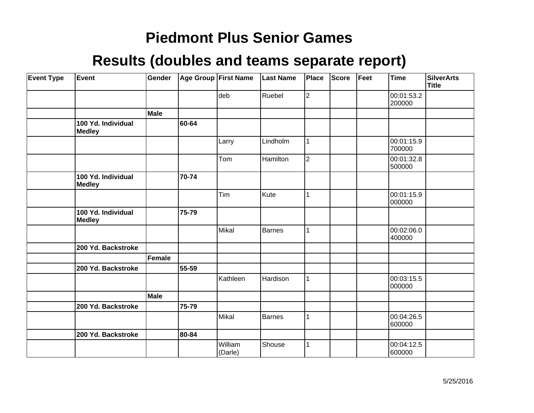| <b>Event Type</b> | Event                               | Gender |       | Age Group First Name | <b>Last Name</b> | Place          | <b>Score</b> | Feet | Time                 | <b>SilverArts</b><br>Title |
|-------------------|-------------------------------------|--------|-------|----------------------|------------------|----------------|--------------|------|----------------------|----------------------------|
|                   |                                     |        |       | deb                  | Ruebel           | 2              |              |      | 00:01:53.2<br>200000 |                            |
|                   |                                     | Male   |       |                      |                  |                |              |      |                      |                            |
|                   | 100 Yd. Individual<br><b>Medley</b> |        | 60-64 |                      |                  |                |              |      |                      |                            |
|                   |                                     |        |       | Larry                | Lindholm         |                |              |      | 00:01:15.9<br>700000 |                            |
|                   |                                     |        |       | Tom                  | Hamilton         | $\overline{2}$ |              |      | 00:01:32.8<br>500000 |                            |
|                   | 100 Yd. Individual<br>Medley        |        | 70-74 |                      |                  |                |              |      |                      |                            |
|                   |                                     |        |       | Tim                  | Kute             |                |              |      | 00:01:15.9<br>000000 |                            |
|                   | 100 Yd. Individual<br><b>Medley</b> |        | 75-79 |                      |                  |                |              |      |                      |                            |
|                   |                                     |        |       | Mikal                | Barnes           |                |              |      | 00:02:06.0<br>400000 |                            |
|                   | 200 Yd. Backstroke                  |        |       |                      |                  |                |              |      |                      |                            |
|                   |                                     | Female |       |                      |                  |                |              |      |                      |                            |
|                   | 200 Yd. Backstroke                  |        | 55-59 |                      |                  |                |              |      |                      |                            |
|                   |                                     |        |       | Kathleen             | Hardison         | 1              |              |      | 00:03:15.5<br>000000 |                            |
|                   |                                     | Male   |       |                      |                  |                |              |      |                      |                            |
|                   | 200 Yd. Backstroke                  |        | 75-79 |                      |                  |                |              |      |                      |                            |
|                   |                                     |        |       | Mikal                | Barnes           |                |              |      | 00:04:26.5<br>600000 |                            |
|                   | 200 Yd. Backstroke                  |        | 80-84 |                      |                  |                |              |      |                      |                            |
|                   |                                     |        |       | William<br>(Darle)   | Shouse           |                |              |      | 00:04:12.5<br>600000 |                            |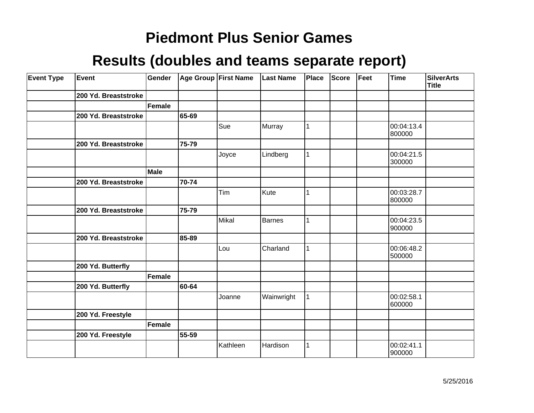| <b>Event Type</b> | Event                | Gender      |           | Age Group First Name | <b>Last Name</b> | Place        | <b>Score</b> | Feet | <b>Time</b>          | <b>SilverArts</b><br>Title |
|-------------------|----------------------|-------------|-----------|----------------------|------------------|--------------|--------------|------|----------------------|----------------------------|
|                   | 200 Yd. Breaststroke |             |           |                      |                  |              |              |      |                      |                            |
|                   |                      | Female      |           |                      |                  |              |              |      |                      |                            |
|                   | 200 Yd. Breaststroke |             | 65-69     |                      |                  |              |              |      |                      |                            |
|                   |                      |             |           | Sue                  | Murray           | 1            |              |      | 00:04:13.4<br>800000 |                            |
|                   | 200 Yd. Breaststroke |             | 75-79     |                      |                  |              |              |      |                      |                            |
|                   |                      |             |           | Joyce                | Lindberg         | $\mathbf{1}$ |              |      | 00:04:21.5<br>300000 |                            |
|                   |                      | <b>Male</b> |           |                      |                  |              |              |      |                      |                            |
|                   | 200 Yd. Breaststroke |             | 70-74     |                      |                  |              |              |      |                      |                            |
|                   |                      |             |           | Tim                  | Kute             | 1            |              |      | 00:03:28.7<br>800000 |                            |
|                   | 200 Yd. Breaststroke |             | 75-79     |                      |                  |              |              |      |                      |                            |
|                   |                      |             |           | Mikal                | <b>Barnes</b>    | 1            |              |      | 00:04:23.5<br>900000 |                            |
|                   | 200 Yd. Breaststroke |             | 85-89     |                      |                  |              |              |      |                      |                            |
|                   |                      |             |           | Lou                  | Charland         | 1            |              |      | 00:06:48.2<br>500000 |                            |
|                   | 200 Yd. Butterfly    |             |           |                      |                  |              |              |      |                      |                            |
|                   |                      | Female      |           |                      |                  |              |              |      |                      |                            |
|                   | 200 Yd. Butterfly    |             | 60-64     |                      |                  |              |              |      |                      |                            |
|                   |                      |             |           | Joanne               | Wainwright       | $\mathbf{1}$ |              |      | 00:02:58.1<br>600000 |                            |
|                   | 200 Yd. Freestyle    |             |           |                      |                  |              |              |      |                      |                            |
|                   |                      | Female      |           |                      |                  |              |              |      |                      |                            |
|                   | 200 Yd. Freestyle    |             | $55 - 59$ |                      |                  |              |              |      |                      |                            |
|                   |                      |             |           | Kathleen             | Hardison         | $\mathbf{1}$ |              |      | 00:02:41.1<br>900000 |                            |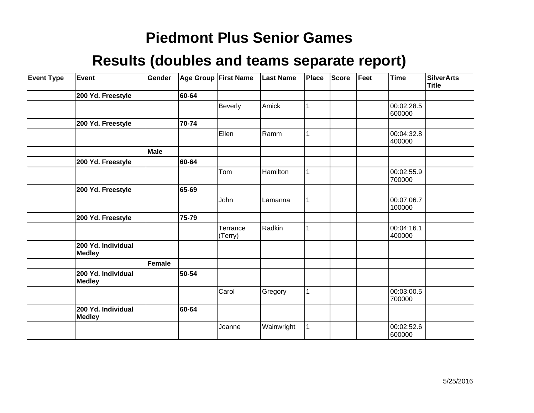| <b>Event Type</b> | Event                               | Gender |       | Age Group First Name | <b>Last Name</b> | Place | <b>Score</b> | Feet | <b>Time</b>          | <b>SilverArts</b><br>Title |
|-------------------|-------------------------------------|--------|-------|----------------------|------------------|-------|--------------|------|----------------------|----------------------------|
|                   | 200 Yd. Freestyle                   |        | 60-64 |                      |                  |       |              |      |                      |                            |
|                   |                                     |        |       | <b>Beverly</b>       | Amick            |       |              |      | 00:02:28.5<br>600000 |                            |
|                   | 200 Yd. Freestyle                   |        | 70-74 |                      |                  |       |              |      |                      |                            |
|                   |                                     |        |       | Ellen                | Ramm             |       |              |      | 00:04:32.8<br>400000 |                            |
|                   |                                     | Male   |       |                      |                  |       |              |      |                      |                            |
|                   | 200 Yd. Freestyle                   |        | 60-64 |                      |                  |       |              |      |                      |                            |
|                   |                                     |        |       | Tom                  | Hamilton         |       |              |      | 00:02:55.9<br>700000 |                            |
|                   | 200 Yd. Freestyle                   |        | 65-69 |                      |                  |       |              |      |                      |                            |
|                   |                                     |        |       | John                 | Lamanna          |       |              |      | 00:07:06.7<br>100000 |                            |
|                   | 200 Yd. Freestyle                   |        | 75-79 |                      |                  |       |              |      |                      |                            |
|                   |                                     |        |       | Terrance<br>(Terry)  | Radkin           |       |              |      | 00:04:16.1<br>400000 |                            |
|                   | 200 Yd. Individual<br><b>Medley</b> |        |       |                      |                  |       |              |      |                      |                            |
|                   |                                     | Female |       |                      |                  |       |              |      |                      |                            |
|                   | 200 Yd. Individual<br><b>Medley</b> |        | 50-54 |                      |                  |       |              |      |                      |                            |
|                   |                                     |        |       | Carol                | Gregory          | 1     |              |      | 00:03:00.5<br>700000 |                            |
|                   | 200 Yd. Individual<br><b>Medley</b> |        | 60-64 |                      |                  |       |              |      |                      |                            |
|                   |                                     |        |       | Joanne               | Wainwright       |       |              |      | 00:02:52.6<br>600000 |                            |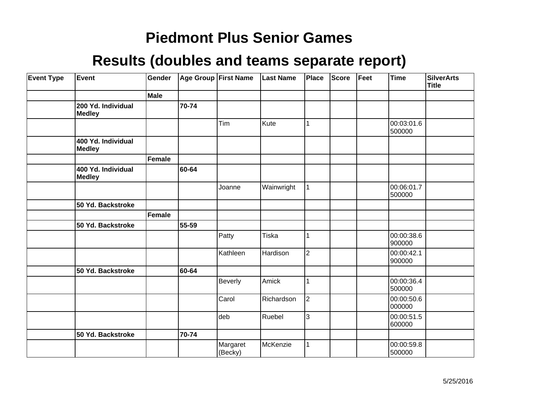| <b>Event Type</b> | Event                               | Gender      |       | <b>Age Group First Name</b> | <b>Last Name</b> | Place          | Score | Feet | <b>Time</b>          | <b>SilverArts</b><br>Title |
|-------------------|-------------------------------------|-------------|-------|-----------------------------|------------------|----------------|-------|------|----------------------|----------------------------|
|                   |                                     | <b>Male</b> |       |                             |                  |                |       |      |                      |                            |
|                   | 200 Yd. Individual<br><b>Medley</b> |             | 70-74 |                             |                  |                |       |      |                      |                            |
|                   |                                     |             |       | Tim                         | Kute             |                |       |      | 00:03:01.6<br>500000 |                            |
|                   | 400 Yd. Individual<br><b>Medley</b> |             |       |                             |                  |                |       |      |                      |                            |
|                   |                                     | Female      |       |                             |                  |                |       |      |                      |                            |
|                   | 400 Yd. Individual<br><b>Medley</b> |             | 60-64 |                             |                  |                |       |      |                      |                            |
|                   |                                     |             |       | Joanne                      | Wainwright       | 1              |       |      | 00:06:01.7<br>500000 |                            |
|                   | 50 Yd. Backstroke                   |             |       |                             |                  |                |       |      |                      |                            |
|                   |                                     | Female      |       |                             |                  |                |       |      |                      |                            |
|                   | 50 Yd. Backstroke                   |             | 55-59 |                             |                  |                |       |      |                      |                            |
|                   |                                     |             |       | Patty                       | Tiska            |                |       |      | 00:00:38.6<br>900000 |                            |
|                   |                                     |             |       | Kathleen                    | Hardison         | $\overline{2}$ |       |      | 00:00:42.1<br>900000 |                            |
|                   | 50 Yd. Backstroke                   |             | 60-64 |                             |                  |                |       |      |                      |                            |
|                   |                                     |             |       | <b>Beverly</b>              | Amick            |                |       |      | 00:00:36.4<br>500000 |                            |
|                   |                                     |             |       | Carol                       | Richardson       | $\vert$ 2      |       |      | 00:00:50.6<br>000000 |                            |
|                   |                                     |             |       | deb                         | Ruebel           | 3              |       |      | 00:00:51.5<br>600000 |                            |
|                   | 50 Yd. Backstroke                   |             | 70-74 |                             |                  |                |       |      |                      |                            |
|                   |                                     |             |       | Margaret<br>(Becky)         | McKenzie         |                |       |      | 00:00:59.8<br>500000 |                            |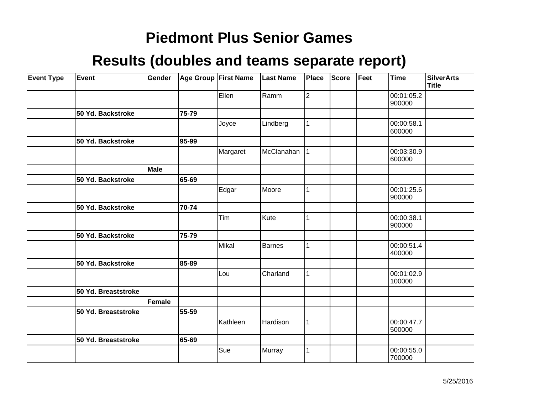| <b>Event Type</b> | Event               | Gender |       | Age Group First Name | <b>Last Name</b> | Place | Score | Feet | <b>Time</b>          | <b>SilverArts</b><br><b>Title</b> |
|-------------------|---------------------|--------|-------|----------------------|------------------|-------|-------|------|----------------------|-----------------------------------|
|                   |                     |        |       | Ellen                | Ramm             | 2     |       |      | 00:01:05.2<br>900000 |                                   |
|                   | 50 Yd. Backstroke   |        | 75-79 |                      |                  |       |       |      |                      |                                   |
|                   |                     |        |       | Joyce                | Lindberg         | 1     |       |      | 00:00:58.1<br>600000 |                                   |
|                   | 50 Yd. Backstroke   |        | 95-99 |                      |                  |       |       |      |                      |                                   |
|                   |                     |        |       | Margaret             | McClanahan       | 1     |       |      | 00:03:30.9<br>600000 |                                   |
|                   |                     | Male   |       |                      |                  |       |       |      |                      |                                   |
|                   | 50 Yd. Backstroke   |        | 65-69 |                      |                  |       |       |      |                      |                                   |
|                   |                     |        |       | Edgar                | Moore            | 1     |       |      | 00:01:25.6<br>900000 |                                   |
|                   | 50 Yd. Backstroke   |        | 70-74 |                      |                  |       |       |      |                      |                                   |
|                   |                     |        |       | Tim                  | Kute             | 1     |       |      | 00:00:38.1<br>900000 |                                   |
|                   | 50 Yd. Backstroke   |        | 75-79 |                      |                  |       |       |      |                      |                                   |
|                   |                     |        |       | Mikal                | <b>Barnes</b>    | 1     |       |      | 00:00:51.4<br>400000 |                                   |
|                   | 50 Yd. Backstroke   |        | 85-89 |                      |                  |       |       |      |                      |                                   |
|                   |                     |        |       | Lou                  | Charland         | 1     |       |      | 00:01:02.9<br>100000 |                                   |
|                   | 50 Yd. Breaststroke |        |       |                      |                  |       |       |      |                      |                                   |
|                   |                     | Female |       |                      |                  |       |       |      |                      |                                   |
|                   | 50 Yd. Breaststroke |        | 55-59 |                      |                  |       |       |      |                      |                                   |
|                   |                     |        |       | Kathleen             | Hardison         | 1     |       |      | 00:00:47.7<br>500000 |                                   |
|                   | 50 Yd. Breaststroke |        | 65-69 |                      |                  |       |       |      |                      |                                   |
|                   |                     |        |       | Sue                  | Murray           | 1     |       |      | 00:00:55.0<br>700000 |                                   |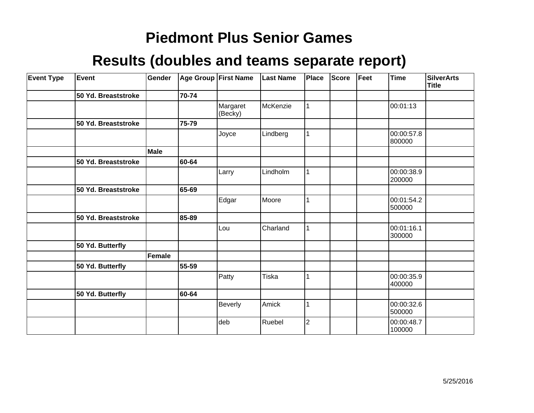| <b>Event Type</b> | Event               | Gender |       | Age Group First Name | <b>Last Name</b> | Place          | Score | Feet | <b>Time</b>          | <b>SilverArts</b><br><b>Title</b> |
|-------------------|---------------------|--------|-------|----------------------|------------------|----------------|-------|------|----------------------|-----------------------------------|
|                   | 50 Yd. Breaststroke |        | 70-74 |                      |                  |                |       |      |                      |                                   |
|                   |                     |        |       | Margaret<br>(Becky)  | McKenzie         |                |       |      | 00:01:13             |                                   |
|                   | 50 Yd. Breaststroke |        | 75-79 |                      |                  |                |       |      |                      |                                   |
|                   |                     |        |       | Joyce                | Lindberg         |                |       |      | 00:00:57.8<br>800000 |                                   |
|                   |                     | Male   |       |                      |                  |                |       |      |                      |                                   |
|                   | 50 Yd. Breaststroke |        | 60-64 |                      |                  |                |       |      |                      |                                   |
|                   |                     |        |       | Larry                | Lindholm         |                |       |      | 00:00:38.9<br>200000 |                                   |
|                   | 50 Yd. Breaststroke |        | 65-69 |                      |                  |                |       |      |                      |                                   |
|                   |                     |        |       | Edgar                | Moore            |                |       |      | 00:01:54.2<br>500000 |                                   |
|                   | 50 Yd. Breaststroke |        | 85-89 |                      |                  |                |       |      |                      |                                   |
|                   |                     |        |       | Lou                  | Charland         |                |       |      | 00:01:16.1<br>300000 |                                   |
|                   | 50 Yd. Butterfly    |        |       |                      |                  |                |       |      |                      |                                   |
|                   |                     | Female |       |                      |                  |                |       |      |                      |                                   |
|                   | 50 Yd. Butterfly    |        | 55-59 |                      |                  |                |       |      |                      |                                   |
|                   |                     |        |       | Patty                | Tiska            |                |       |      | 00:00:35.9<br>400000 |                                   |
|                   | 50 Yd. Butterfly    |        | 60-64 |                      |                  |                |       |      |                      |                                   |
|                   |                     |        |       | <b>Beverly</b>       | Amick            |                |       |      | 00:00:32.6<br>500000 |                                   |
|                   |                     |        |       | deb                  | Ruebel           | $\overline{2}$ |       |      | 00:00:48.7<br>100000 |                                   |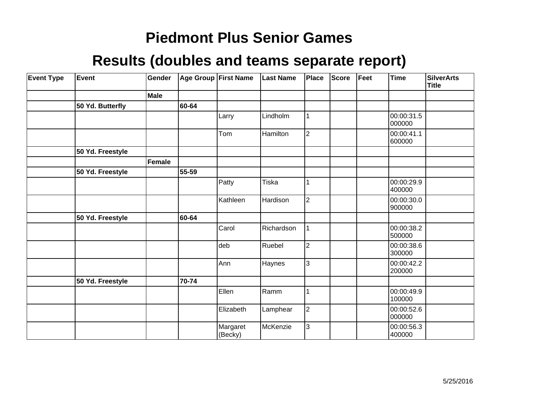| <b>Event Type</b> | Event            | Gender      |       | Age Group First Name | <b>Last Name</b> | Place          | <b>Score</b> | Feet | <b>Time</b>          | <b>SilverArts</b><br><b>Title</b> |
|-------------------|------------------|-------------|-------|----------------------|------------------|----------------|--------------|------|----------------------|-----------------------------------|
|                   |                  | <b>Male</b> |       |                      |                  |                |              |      |                      |                                   |
|                   | 50 Yd. Butterfly |             | 60-64 |                      |                  |                |              |      |                      |                                   |
|                   |                  |             |       | Larry                | Lindholm         | 1              |              |      | 00:00:31.5<br>000000 |                                   |
|                   |                  |             |       | Tom                  | Hamilton         | $\overline{2}$ |              |      | 00:00:41.1<br>600000 |                                   |
|                   | 50 Yd. Freestyle |             |       |                      |                  |                |              |      |                      |                                   |
|                   |                  | Female      |       |                      |                  |                |              |      |                      |                                   |
|                   | 50 Yd. Freestyle |             | 55-59 |                      |                  |                |              |      |                      |                                   |
|                   |                  |             |       | Patty                | Tiska            | 1              |              |      | 00:00:29.9<br>400000 |                                   |
|                   |                  |             |       | Kathleen             | Hardison         | $\overline{2}$ |              |      | 00:00:30.0<br>900000 |                                   |
|                   | 50 Yd. Freestyle |             | 60-64 |                      |                  |                |              |      |                      |                                   |
|                   |                  |             |       | Carol                | Richardson       | $\mathbf{1}$   |              |      | 00:00:38.2<br>500000 |                                   |
|                   |                  |             |       | deb                  | Ruebel           | $\overline{2}$ |              |      | 00:00:38.6<br>300000 |                                   |
|                   |                  |             |       | Ann                  | Haynes           | 3              |              |      | 00:00:42.2<br>200000 |                                   |
|                   | 50 Yd. Freestyle |             | 70-74 |                      |                  |                |              |      |                      |                                   |
|                   |                  |             |       | Ellen                | Ramm             | 1              |              |      | 00:00:49.9<br>100000 |                                   |
|                   |                  |             |       | Elizabeth            | Lamphear         | $\overline{2}$ |              |      | 00:00:52.6<br>000000 |                                   |
|                   |                  |             |       | Margaret<br>(Becky)  | McKenzie         | 3              |              |      | 00:00:56.3<br>400000 |                                   |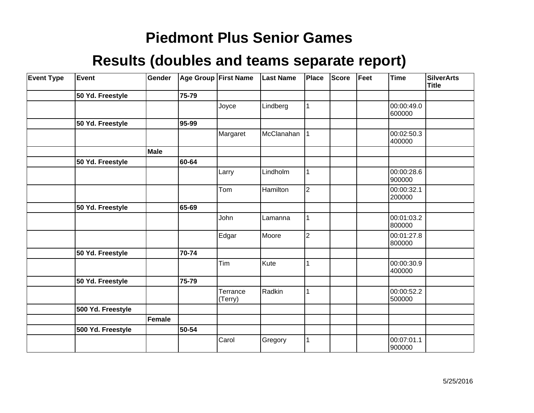| <b>Event Type</b> | Event             | Gender        |       | Age Group First Name | <b>Last Name</b> | <b>Place</b>   | Score | Feet | <b>Time</b>          | <b>SilverArts</b><br>Title |
|-------------------|-------------------|---------------|-------|----------------------|------------------|----------------|-------|------|----------------------|----------------------------|
|                   | 50 Yd. Freestyle  |               | 75-79 |                      |                  |                |       |      |                      |                            |
|                   |                   |               |       | Joyce                | Lindberg         |                |       |      | 00:00:49.0<br>600000 |                            |
|                   | 50 Yd. Freestyle  |               | 95-99 |                      |                  |                |       |      |                      |                            |
|                   |                   |               |       | Margaret             | McClanahan       |                |       |      | 00:02:50.3<br>400000 |                            |
|                   |                   | Male          |       |                      |                  |                |       |      |                      |                            |
|                   | 50 Yd. Freestyle  |               | 60-64 |                      |                  |                |       |      |                      |                            |
|                   |                   |               |       | Larry                | Lindholm         | 1              |       |      | 00:00:28.6<br>900000 |                            |
|                   |                   |               |       | Tom                  | Hamilton         | $\overline{2}$ |       |      | 00:00:32.1<br>200000 |                            |
|                   | 50 Yd. Freestyle  |               | 65-69 |                      |                  |                |       |      |                      |                            |
|                   |                   |               |       | John                 | Lamanna          |                |       |      | 00:01:03.2<br>800000 |                            |
|                   |                   |               |       | Edgar                | Moore            | 2              |       |      | 00:01:27.8<br>800000 |                            |
|                   | 50 Yd. Freestyle  |               | 70-74 |                      |                  |                |       |      |                      |                            |
|                   |                   |               |       | Tim                  | Kute             |                |       |      | 00:00:30.9<br>400000 |                            |
|                   | 50 Yd. Freestyle  |               | 75-79 |                      |                  |                |       |      |                      |                            |
|                   |                   |               |       | Terrance<br>(Terry)  | Radkin           |                |       |      | 00:00:52.2<br>500000 |                            |
|                   | 500 Yd. Freestyle |               |       |                      |                  |                |       |      |                      |                            |
|                   |                   | <b>Female</b> |       |                      |                  |                |       |      |                      |                            |
|                   | 500 Yd. Freestyle |               | 50-54 |                      |                  |                |       |      |                      |                            |
|                   |                   |               |       | Carol                | Gregory          |                |       |      | 00:07:01.1<br>900000 |                            |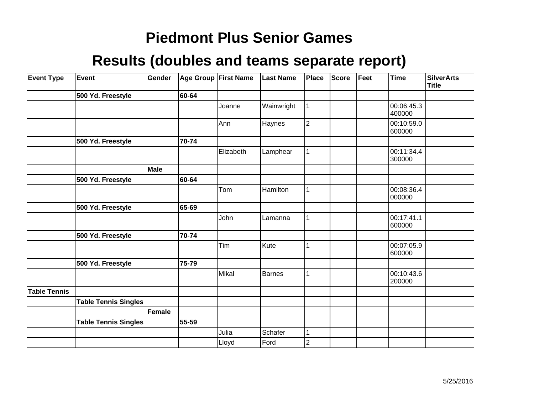| <b>Event Type</b>   | Event                       | Gender |       | Age Group First Name | <b>Last Name</b> | Place                   | <b>Score</b> | Feet | <b>Time</b>          | <b>SilverArts</b><br><b>Title</b> |
|---------------------|-----------------------------|--------|-------|----------------------|------------------|-------------------------|--------------|------|----------------------|-----------------------------------|
|                     | 500 Yd. Freestyle           |        | 60-64 |                      |                  |                         |              |      |                      |                                   |
|                     |                             |        |       | Joanne               | Wainwright       | 1                       |              |      | 00:06:45.3<br>400000 |                                   |
|                     |                             |        |       | Ann                  | Haynes           | $\overline{2}$          |              |      | 00:10:59.0<br>600000 |                                   |
|                     | 500 Yd. Freestyle           |        | 70-74 |                      |                  |                         |              |      |                      |                                   |
|                     |                             |        |       | Elizabeth            | Lamphear         |                         |              |      | 00:11:34.4<br>300000 |                                   |
|                     |                             | Male   |       |                      |                  |                         |              |      |                      |                                   |
|                     | 500 Yd. Freestyle           |        | 60-64 |                      |                  |                         |              |      |                      |                                   |
|                     |                             |        |       | Tom                  | Hamilton         |                         |              |      | 00:08:36.4<br>000000 |                                   |
|                     | 500 Yd. Freestyle           |        | 65-69 |                      |                  |                         |              |      |                      |                                   |
|                     |                             |        |       | John                 | Lamanna          |                         |              |      | 00:17:41.1<br>600000 |                                   |
|                     | 500 Yd. Freestyle           |        | 70-74 |                      |                  |                         |              |      |                      |                                   |
|                     |                             |        |       | Tim                  | Kute             |                         |              |      | 00:07:05.9<br>600000 |                                   |
|                     | 500 Yd. Freestyle           |        | 75-79 |                      |                  |                         |              |      |                      |                                   |
|                     |                             |        |       | Mikal                | Barnes           |                         |              |      | 00:10:43.6<br>200000 |                                   |
| <b>Table Tennis</b> |                             |        |       |                      |                  |                         |              |      |                      |                                   |
|                     | <b>Table Tennis Singles</b> |        |       |                      |                  |                         |              |      |                      |                                   |
|                     |                             | Female |       |                      |                  |                         |              |      |                      |                                   |
|                     | <b>Table Tennis Singles</b> |        | 55-59 |                      |                  |                         |              |      |                      |                                   |
|                     |                             |        |       | Julia                | Schafer          |                         |              |      |                      |                                   |
|                     |                             |        |       | Lloyd                | Ford             | $\overline{\mathbf{c}}$ |              |      |                      |                                   |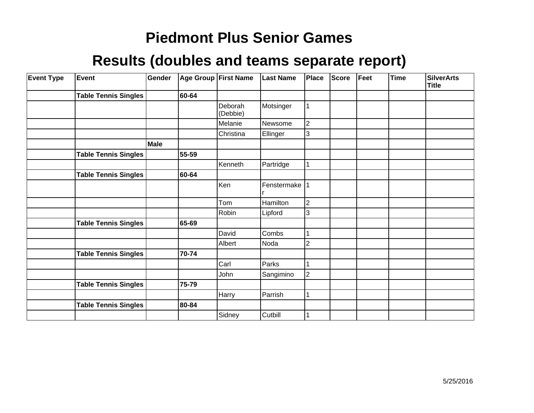| <b>Event Type</b> | <b>Event</b>                | Gender |       | <b>Age Group First Name</b> | <b>Last Name</b> | <b>Place</b>   | Score | Feet | <b>Time</b> | <b>SilverArts</b><br><b>Title</b> |
|-------------------|-----------------------------|--------|-------|-----------------------------|------------------|----------------|-------|------|-------------|-----------------------------------|
|                   | <b>Table Tennis Singles</b> |        | 60-64 |                             |                  |                |       |      |             |                                   |
|                   |                             |        |       | Deborah<br>(Debbie)         | Motsinger        | $\vert$ 1      |       |      |             |                                   |
|                   |                             |        |       | Melanie                     | Newsome          | $\overline{2}$ |       |      |             |                                   |
|                   |                             |        |       | Christina                   | Ellinger         | 3              |       |      |             |                                   |
|                   |                             | Male   |       |                             |                  |                |       |      |             |                                   |
|                   | <b>Table Tennis Singles</b> |        | 55-59 |                             |                  |                |       |      |             |                                   |
|                   |                             |        |       | Kenneth                     | Partridge        |                |       |      |             |                                   |
|                   | <b>Table Tennis Singles</b> |        | 60-64 |                             |                  |                |       |      |             |                                   |
|                   |                             |        |       | Ken                         | Fenstermake  1   |                |       |      |             |                                   |
|                   |                             |        |       | Tom                         | Hamilton         | $\overline{2}$ |       |      |             |                                   |
|                   |                             |        |       | Robin                       | Lipford          | 3              |       |      |             |                                   |
|                   | <b>Table Tennis Singles</b> |        | 65-69 |                             |                  |                |       |      |             |                                   |
|                   |                             |        |       | David                       | Combs            | 1              |       |      |             |                                   |
|                   |                             |        |       | Albert                      | Noda             | 2              |       |      |             |                                   |
|                   | <b>Table Tennis Singles</b> |        | 70-74 |                             |                  |                |       |      |             |                                   |
|                   |                             |        |       | Carl                        | Parks            |                |       |      |             |                                   |
|                   |                             |        |       | John                        | Sangimino        | $\overline{2}$ |       |      |             |                                   |
|                   | <b>Table Tennis Singles</b> |        | 75-79 |                             |                  |                |       |      |             |                                   |
|                   |                             |        |       | Harry                       | Parrish          | 1              |       |      |             |                                   |
|                   | <b>Table Tennis Singles</b> |        | 80-84 |                             |                  |                |       |      |             |                                   |
|                   |                             |        |       | Sidney                      | Cutbill          |                |       |      |             |                                   |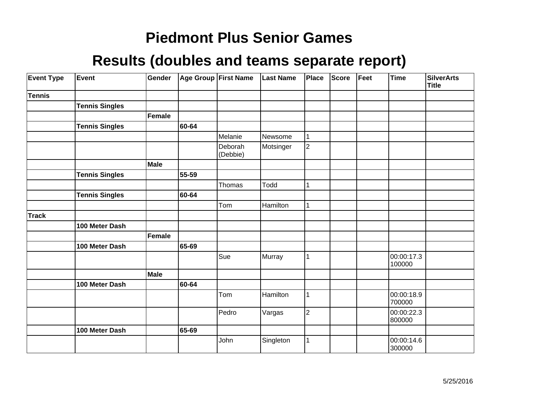| <b>Event Type</b> | Event                 | Gender      |       | Age Group First Name | <b>Last Name</b> | Place          | <b>Score</b> | Feet | <b>Time</b>          | <b>SilverArts</b><br><b>Title</b> |
|-------------------|-----------------------|-------------|-------|----------------------|------------------|----------------|--------------|------|----------------------|-----------------------------------|
| <b>Tennis</b>     |                       |             |       |                      |                  |                |              |      |                      |                                   |
|                   | <b>Tennis Singles</b> |             |       |                      |                  |                |              |      |                      |                                   |
|                   |                       | Female      |       |                      |                  |                |              |      |                      |                                   |
|                   | <b>Tennis Singles</b> |             | 60-64 |                      |                  |                |              |      |                      |                                   |
|                   |                       |             |       | Melanie              | Newsome          |                |              |      |                      |                                   |
|                   |                       |             |       | Deborah<br>(Debbie)  | Motsinger        | $\overline{2}$ |              |      |                      |                                   |
|                   |                       | <b>Male</b> |       |                      |                  |                |              |      |                      |                                   |
|                   | <b>Tennis Singles</b> |             | 55-59 |                      |                  |                |              |      |                      |                                   |
|                   |                       |             |       | Thomas               | Todd             |                |              |      |                      |                                   |
|                   | <b>Tennis Singles</b> |             | 60-64 |                      |                  |                |              |      |                      |                                   |
|                   |                       |             |       | Tom                  | Hamilton         |                |              |      |                      |                                   |
| <b>Track</b>      |                       |             |       |                      |                  |                |              |      |                      |                                   |
|                   | 100 Meter Dash        |             |       |                      |                  |                |              |      |                      |                                   |
|                   |                       | Female      |       |                      |                  |                |              |      |                      |                                   |
|                   | 100 Meter Dash        |             | 65-69 |                      |                  |                |              |      |                      |                                   |
|                   |                       |             |       | Sue                  | Murray           |                |              |      | 00:00:17.3<br>100000 |                                   |
|                   |                       | Male        |       |                      |                  |                |              |      |                      |                                   |
|                   | 100 Meter Dash        |             | 60-64 |                      |                  |                |              |      |                      |                                   |
|                   |                       |             |       | Tom                  | Hamilton         |                |              |      | 00:00:18.9<br>700000 |                                   |
|                   |                       |             |       | Pedro                | Vargas           | $\overline{2}$ |              |      | 00:00:22.3<br>800000 |                                   |
|                   | 100 Meter Dash        |             | 65-69 |                      |                  |                |              |      |                      |                                   |
|                   |                       |             |       | John                 | Singleton        |                |              |      | 00:00:14.6<br>300000 |                                   |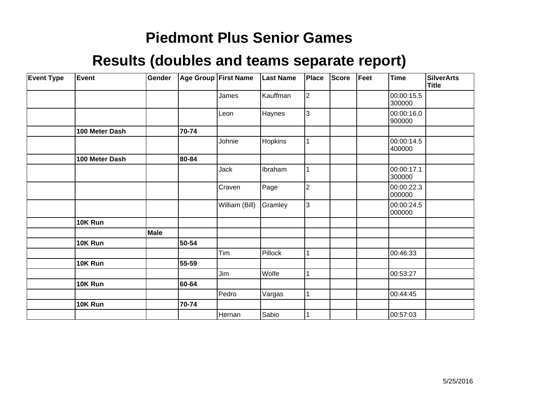| <b>Event Type</b> | <b>Event</b>   | Gender |       | Age Group First Name | <b>Last Name</b> | Place          | <b>Score</b> | Feet | <b>Time</b>          | <b>SilverArts</b><br><b>Title</b> |
|-------------------|----------------|--------|-------|----------------------|------------------|----------------|--------------|------|----------------------|-----------------------------------|
|                   |                |        |       | James                | Kauffman         | $\overline{2}$ |              |      | 00:00:15.5<br>300000 |                                   |
|                   |                |        |       | Leon                 | Haynes           | 3              |              |      | 00:00:16.0<br>900000 |                                   |
|                   | 100 Meter Dash |        | 70-74 |                      |                  |                |              |      |                      |                                   |
|                   |                |        |       | Johnie               | Hopkins          |                |              |      | 00:00:14.5<br>400000 |                                   |
|                   | 100 Meter Dash |        | 80-84 |                      |                  |                |              |      |                      |                                   |
|                   |                |        |       | Jack                 | Ibraham          |                |              |      | 00:00:17.1<br>300000 |                                   |
|                   |                |        |       | Craven               | Page             | $\overline{2}$ |              |      | 00:00:22.3<br>000000 |                                   |
|                   |                |        |       | William (Bill)       | Gramley          | 3              |              |      | 00:00:24.5<br>000000 |                                   |
|                   | 10K Run        |        |       |                      |                  |                |              |      |                      |                                   |
|                   |                | Male   |       |                      |                  |                |              |      |                      |                                   |
|                   | 10K Run        |        | 50-54 |                      |                  |                |              |      |                      |                                   |
|                   |                |        |       | Tim                  | Pillock          |                |              |      | 00:46:33             |                                   |
|                   | 10K Run        |        | 55-59 |                      |                  |                |              |      |                      |                                   |
|                   |                |        |       | Jim                  | Wolfe            |                |              |      | 00:53:27             |                                   |
|                   | 10K Run        |        | 60-64 |                      |                  |                |              |      |                      |                                   |
|                   |                |        |       | Pedro                | Vargas           |                |              |      | 00:44:45             |                                   |
|                   | 10K Run        |        | 70-74 |                      |                  |                |              |      |                      |                                   |
|                   |                |        |       | Hernan               | Sabio            |                |              |      | 00:57:03             |                                   |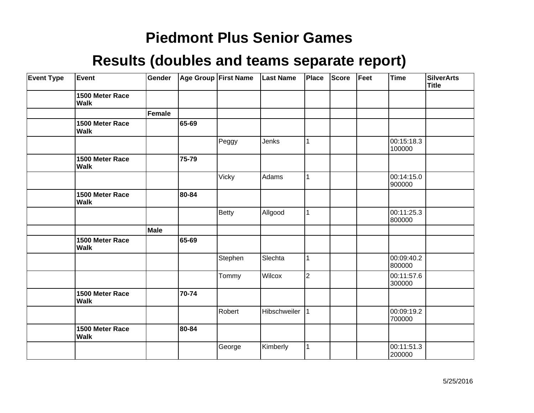| <b>Event Type</b> | Event                          | Gender |       | Age Group First Name | <b>Last Name</b> | Place          | <b>Score</b> | Feet | Time                 | <b>SilverArts</b><br><b>Title</b> |
|-------------------|--------------------------------|--------|-------|----------------------|------------------|----------------|--------------|------|----------------------|-----------------------------------|
|                   | 1500 Meter Race<br><b>Walk</b> |        |       |                      |                  |                |              |      |                      |                                   |
|                   |                                | Female |       |                      |                  |                |              |      |                      |                                   |
|                   | 1500 Meter Race<br><b>Walk</b> |        | 65-69 |                      |                  |                |              |      |                      |                                   |
|                   |                                |        |       | Peggy                | Jenks            | $\mathbf{1}$   |              |      | 00:15:18.3<br>100000 |                                   |
|                   | 1500 Meter Race<br>Walk        |        | 75-79 |                      |                  |                |              |      |                      |                                   |
|                   |                                |        |       | Vicky                | Adams            | $\mathbf{1}$   |              |      | 00:14:15.0<br>900000 |                                   |
|                   | 1500 Meter Race<br><b>Walk</b> |        | 80-84 |                      |                  |                |              |      |                      |                                   |
|                   |                                |        |       | <b>Betty</b>         | Allgood          | 1              |              |      | 00:11:25.3<br>800000 |                                   |
|                   |                                | Male   |       |                      |                  |                |              |      |                      |                                   |
|                   | 1500 Meter Race<br><b>Walk</b> |        | 65-69 |                      |                  |                |              |      |                      |                                   |
|                   |                                |        |       | Stephen              | Slechta          | $\mathbf{1}$   |              |      | 00:09:40.2<br>800000 |                                   |
|                   |                                |        |       | Tommy                | Wilcox           | $\overline{2}$ |              |      | 00:11:57.6<br>300000 |                                   |
|                   | 1500 Meter Race<br><b>Walk</b> |        | 70-74 |                      |                  |                |              |      |                      |                                   |
|                   |                                |        |       | Robert               | Hibschweiler     | 11             |              |      | 00:09:19.2<br>700000 |                                   |
|                   | 1500 Meter Race<br><b>Walk</b> |        | 80-84 |                      |                  |                |              |      |                      |                                   |
|                   |                                |        |       | George               | Kimberly         | 1              |              |      | 00:11:51.3<br>200000 |                                   |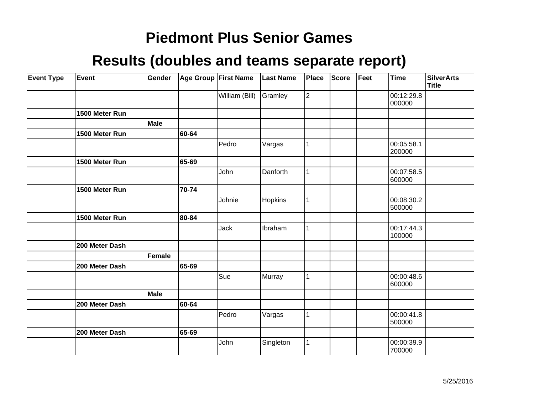| <b>Event Type</b> | Event          | Gender      |       | Age Group First Name | <b>Last Name</b> | <b>Place</b>   | <b>Score</b> | Feet | <b>Time</b>          | <b>SilverArts</b><br><b>Title</b> |
|-------------------|----------------|-------------|-------|----------------------|------------------|----------------|--------------|------|----------------------|-----------------------------------|
|                   |                |             |       | William (Bill)       | Gramley          | $\overline{c}$ |              |      | 00:12:29.8<br>000000 |                                   |
|                   | 1500 Meter Run |             |       |                      |                  |                |              |      |                      |                                   |
|                   |                | <b>Male</b> |       |                      |                  |                |              |      |                      |                                   |
|                   | 1500 Meter Run |             | 60-64 |                      |                  |                |              |      |                      |                                   |
|                   |                |             |       | Pedro                | Vargas           |                |              |      | 00:05:58.1<br>200000 |                                   |
|                   | 1500 Meter Run |             | 65-69 |                      |                  |                |              |      |                      |                                   |
|                   |                |             |       | John                 | Danforth         |                |              |      | 00:07:58.5<br>600000 |                                   |
|                   | 1500 Meter Run |             | 70-74 |                      |                  |                |              |      |                      |                                   |
|                   |                |             |       | Johnie               | Hopkins          | 1              |              |      | 00:08:30.2<br>500000 |                                   |
|                   | 1500 Meter Run |             | 80-84 |                      |                  |                |              |      |                      |                                   |
|                   |                |             |       | Jack                 | Ibraham          | 1              |              |      | 00:17:44.3<br>100000 |                                   |
|                   | 200 Meter Dash |             |       |                      |                  |                |              |      |                      |                                   |
|                   |                | Female      |       |                      |                  |                |              |      |                      |                                   |
|                   | 200 Meter Dash |             | 65-69 |                      |                  |                |              |      |                      |                                   |
|                   |                |             |       | Sue                  | Murray           |                |              |      | 00:00:48.6<br>600000 |                                   |
|                   |                | <b>Male</b> |       |                      |                  |                |              |      |                      |                                   |
|                   | 200 Meter Dash |             | 60-64 |                      |                  |                |              |      |                      |                                   |
|                   |                |             |       | Pedro                | Vargas           | 1              |              |      | 00:00:41.8<br>500000 |                                   |
|                   | 200 Meter Dash |             | 65-69 |                      |                  |                |              |      |                      |                                   |
|                   |                |             |       | John                 | Singleton        |                |              |      | 00:00:39.9<br>700000 |                                   |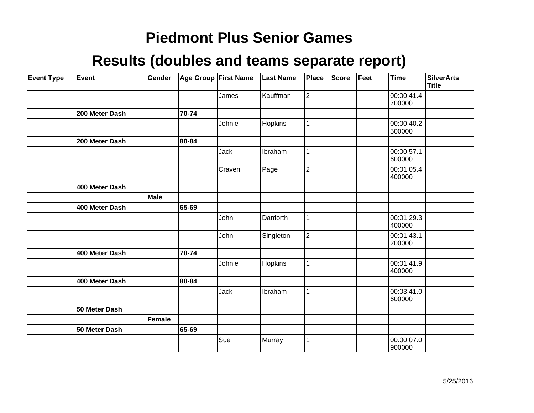| <b>Event Type</b> | <b>Event</b>   | Gender |       | Age Group First Name | <b>Last Name</b> | <b>Place</b>   | <b>Score</b> | Feet | Time                 | <b>SilverArts</b><br>Title |
|-------------------|----------------|--------|-------|----------------------|------------------|----------------|--------------|------|----------------------|----------------------------|
|                   |                |        |       | James                | Kauffman         | $\overline{2}$ |              |      | 00:00:41.4<br>700000 |                            |
|                   | 200 Meter Dash |        | 70-74 |                      |                  |                |              |      |                      |                            |
|                   |                |        |       | Johnie               | Hopkins          |                |              |      | 00:00:40.2<br>500000 |                            |
|                   | 200 Meter Dash |        | 80-84 |                      |                  |                |              |      |                      |                            |
|                   |                |        |       | Jack                 | Ibraham          |                |              |      | 00:00:57.1<br>600000 |                            |
|                   |                |        |       | Craven               | Page             | $\overline{2}$ |              |      | 00:01:05.4<br>400000 |                            |
|                   | 400 Meter Dash |        |       |                      |                  |                |              |      |                      |                            |
|                   |                | Male   |       |                      |                  |                |              |      |                      |                            |
|                   | 400 Meter Dash |        | 65-69 |                      |                  |                |              |      |                      |                            |
|                   |                |        |       | John                 | Danforth         |                |              |      | 00:01:29.3<br>400000 |                            |
|                   |                |        |       | John                 | Singleton        | $\overline{2}$ |              |      | 00:01:43.1<br>200000 |                            |
|                   | 400 Meter Dash |        | 70-74 |                      |                  |                |              |      |                      |                            |
|                   |                |        |       | Johnie               | Hopkins          | 1              |              |      | 00:01:41.9<br>400000 |                            |
|                   | 400 Meter Dash |        | 80-84 |                      |                  |                |              |      |                      |                            |
|                   |                |        |       | Jack                 | Ibraham          | 1              |              |      | 00:03:41.0<br>600000 |                            |
|                   | 50 Meter Dash  |        |       |                      |                  |                |              |      |                      |                            |
|                   |                | Female |       |                      |                  |                |              |      |                      |                            |
|                   | 50 Meter Dash  |        | 65-69 |                      |                  |                |              |      |                      |                            |
|                   |                |        |       | Sue                  | Murray           |                |              |      | 00:00:07.0<br>900000 |                            |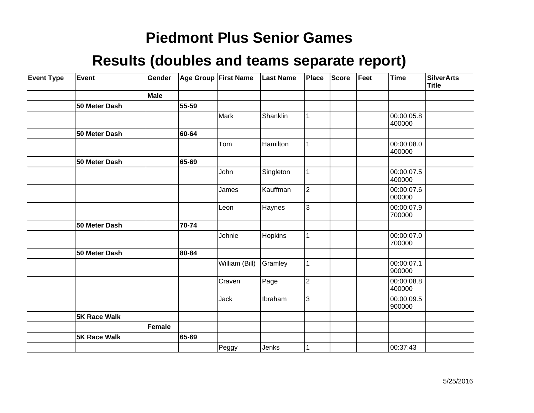| <b>Event Type</b> | Event               | Gender |       | Age Group First Name | <b>Last Name</b> | Place          | <b>Score</b> | Feet | <b>Time</b>          | <b>SilverArts</b><br>Title |
|-------------------|---------------------|--------|-------|----------------------|------------------|----------------|--------------|------|----------------------|----------------------------|
|                   |                     | Male   |       |                      |                  |                |              |      |                      |                            |
|                   | 50 Meter Dash       |        | 55-59 |                      |                  |                |              |      |                      |                            |
|                   |                     |        |       | <b>Mark</b>          | Shanklin         | $\mathbf{1}$   |              |      | 00:00:05.8<br>400000 |                            |
|                   | 50 Meter Dash       |        | 60-64 |                      |                  |                |              |      |                      |                            |
|                   |                     |        |       | Tom                  | Hamilton         | $\mathbf{1}$   |              |      | 00:00:08.0<br>400000 |                            |
|                   | 50 Meter Dash       |        | 65-69 |                      |                  |                |              |      |                      |                            |
|                   |                     |        |       | John                 | Singleton        | $\mathbf{1}$   |              |      | 00:00:07.5<br>400000 |                            |
|                   |                     |        |       | James                | Kauffman         | $\overline{2}$ |              |      | 00:00:07.6<br>000000 |                            |
|                   |                     |        |       | Leon                 | Haynes           | 3              |              |      | 00:00:07.9<br>700000 |                            |
|                   | 50 Meter Dash       |        | 70-74 |                      |                  |                |              |      |                      |                            |
|                   |                     |        |       | Johnie               | Hopkins          | 1              |              |      | 00:00:07.0<br>700000 |                            |
|                   | 50 Meter Dash       |        | 80-84 |                      |                  |                |              |      |                      |                            |
|                   |                     |        |       | William (Bill)       | Gramley          | 1              |              |      | 00:00:07.1<br>900000 |                            |
|                   |                     |        |       | Craven               | Page             | $\overline{2}$ |              |      | 00:00:08.8<br>400000 |                            |
|                   |                     |        |       | Jack                 | Ibraham          | 3              |              |      | 00:00:09.5<br>900000 |                            |
|                   | <b>5K Race Walk</b> |        |       |                      |                  |                |              |      |                      |                            |
|                   |                     | Female |       |                      |                  |                |              |      |                      |                            |
|                   | <b>5K Race Walk</b> |        | 65-69 |                      |                  |                |              |      |                      |                            |
|                   |                     |        |       | Peggy                | Jenks            | 1              |              |      | 00:37:43             |                            |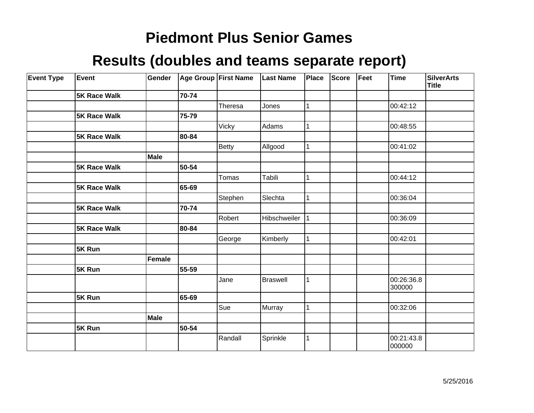| <b>Event Type</b> | Event               | Gender      |       | Age Group First Name | <b>Last Name</b> | <b>Place</b> | <b>Score</b> | Feet | <b>Time</b>          | <b>SilverArts</b><br><b>Title</b> |
|-------------------|---------------------|-------------|-------|----------------------|------------------|--------------|--------------|------|----------------------|-----------------------------------|
|                   | <b>5K Race Walk</b> |             | 70-74 |                      |                  |              |              |      |                      |                                   |
|                   |                     |             |       | Theresa              | Jones            |              |              |      | 00:42:12             |                                   |
|                   | <b>5K Race Walk</b> |             | 75-79 |                      |                  |              |              |      |                      |                                   |
|                   |                     |             |       | <b>Vicky</b>         | Adams            |              |              |      | 00:48:55             |                                   |
|                   | <b>5K Race Walk</b> |             | 80-84 |                      |                  |              |              |      |                      |                                   |
|                   |                     |             |       | <b>Betty</b>         | Allgood          |              |              |      | 00:41:02             |                                   |
|                   |                     | <b>Male</b> |       |                      |                  |              |              |      |                      |                                   |
|                   | <b>5K Race Walk</b> |             | 50-54 |                      |                  |              |              |      |                      |                                   |
|                   |                     |             |       | Tomas                | Tabili           |              |              |      | 00:44:12             |                                   |
|                   | <b>5K Race Walk</b> |             | 65-69 |                      |                  |              |              |      |                      |                                   |
|                   |                     |             |       | Stephen              | Slechta          |              |              |      | 00:36:04             |                                   |
|                   | <b>5K Race Walk</b> |             | 70-74 |                      |                  |              |              |      |                      |                                   |
|                   |                     |             |       | Robert               | Hibschweiler     |              |              |      | 00:36:09             |                                   |
|                   | <b>5K Race Walk</b> |             | 80-84 |                      |                  |              |              |      |                      |                                   |
|                   |                     |             |       | George               | Kimberly         | 1            |              |      | 00:42:01             |                                   |
|                   | 5K Run              |             |       |                      |                  |              |              |      |                      |                                   |
|                   |                     | Female      |       |                      |                  |              |              |      |                      |                                   |
|                   | 5K Run              |             | 55-59 |                      |                  |              |              |      |                      |                                   |
|                   |                     |             |       | Jane                 | <b>Braswell</b>  | 1            |              |      | 00:26:36.8<br>300000 |                                   |
|                   | 5K Run              |             | 65-69 |                      |                  |              |              |      |                      |                                   |
|                   |                     |             |       | Sue                  | Murray           |              |              |      | 00:32:06             |                                   |
|                   |                     | Male        |       |                      |                  |              |              |      |                      |                                   |
|                   | 5K Run              |             | 50-54 |                      |                  |              |              |      |                      |                                   |
|                   |                     |             |       | Randall              | Sprinkle         |              |              |      | 00:21:43.8<br>000000 |                                   |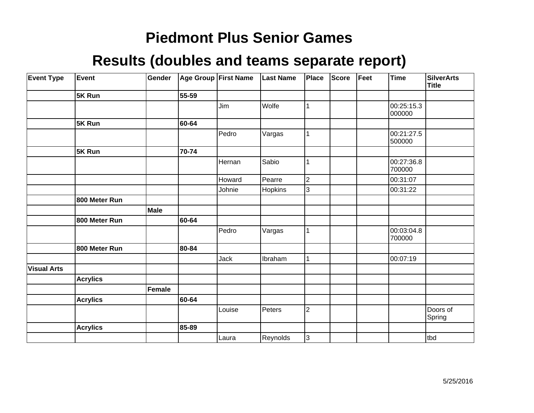| <b>Event Type</b>  | Event           | Gender        |       | <b>Age Group First Name</b> | <b>Last Name</b> | Place          | <b>Score</b> | Feet | Time                 | <b>SilverArts</b><br>Title |
|--------------------|-----------------|---------------|-------|-----------------------------|------------------|----------------|--------------|------|----------------------|----------------------------|
|                    | 5K Run          |               | 55-59 |                             |                  |                |              |      |                      |                            |
|                    |                 |               |       | Jim                         | Wolfe            | 1              |              |      | 00:25:15.3<br>000000 |                            |
|                    | 5K Run          |               | 60-64 |                             |                  |                |              |      |                      |                            |
|                    |                 |               |       | Pedro                       | Vargas           | 1              |              |      | 00:21:27.5<br>500000 |                            |
|                    | 5K Run          |               | 70-74 |                             |                  |                |              |      |                      |                            |
|                    |                 |               |       | Hernan                      | Sabio            | 1              |              |      | 00:27:36.8<br>700000 |                            |
|                    |                 |               |       | Howard                      | Pearre           | $\overline{2}$ |              |      | 00:31:07             |                            |
|                    |                 |               |       | Johnie                      | Hopkins          | 3              |              |      | 00:31:22             |                            |
|                    | 800 Meter Run   |               |       |                             |                  |                |              |      |                      |                            |
|                    |                 | <b>Male</b>   |       |                             |                  |                |              |      |                      |                            |
|                    | 800 Meter Run   |               | 60-64 |                             |                  |                |              |      |                      |                            |
|                    |                 |               |       | Pedro                       | Vargas           | 1              |              |      | 00:03:04.8<br>700000 |                            |
|                    | 800 Meter Run   |               | 80-84 |                             |                  |                |              |      |                      |                            |
|                    |                 |               |       | Jack                        | Ibraham          | 1              |              |      | 00:07:19             |                            |
| <b>Visual Arts</b> |                 |               |       |                             |                  |                |              |      |                      |                            |
|                    | <b>Acrylics</b> |               |       |                             |                  |                |              |      |                      |                            |
|                    |                 | <b>Female</b> |       |                             |                  |                |              |      |                      |                            |
|                    | <b>Acrylics</b> |               | 60-64 |                             |                  |                |              |      |                      |                            |
|                    |                 |               |       | Louise                      | Peters           | $\overline{c}$ |              |      |                      | Doors of<br>Spring         |
|                    | <b>Acrylics</b> |               | 85-89 |                             |                  |                |              |      |                      |                            |
|                    |                 |               |       | Laura                       | Reynolds         | 3              |              |      |                      | tbd                        |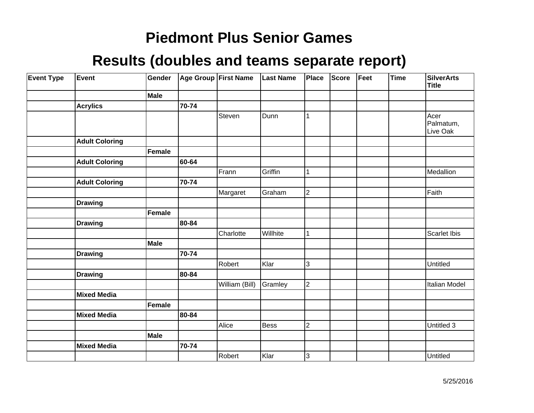| <b>Event Type</b> | Event                 | Gender |       | Age Group First Name | <b>Last Name</b> | Place                   | Score | Feet | Time | <b>SilverArts</b><br><b>Title</b> |
|-------------------|-----------------------|--------|-------|----------------------|------------------|-------------------------|-------|------|------|-----------------------------------|
|                   |                       | Male   |       |                      |                  |                         |       |      |      |                                   |
|                   | <b>Acrylics</b>       |        | 70-74 |                      |                  |                         |       |      |      |                                   |
|                   |                       |        |       | Steven               | Dunn             | 1                       |       |      |      | Acer<br>Palmatum,<br>Live Oak     |
|                   | <b>Adult Coloring</b> |        |       |                      |                  |                         |       |      |      |                                   |
|                   |                       | Female |       |                      |                  |                         |       |      |      |                                   |
|                   | <b>Adult Coloring</b> |        | 60-64 |                      |                  |                         |       |      |      |                                   |
|                   |                       |        |       | Frann                | Griffin          | 1                       |       |      |      | Medallion                         |
|                   | <b>Adult Coloring</b> |        | 70-74 |                      |                  |                         |       |      |      |                                   |
|                   |                       |        |       | Margaret             | Graham           | $\overline{2}$          |       |      |      | Faith                             |
|                   | <b>Drawing</b>        |        |       |                      |                  |                         |       |      |      |                                   |
|                   |                       | Female |       |                      |                  |                         |       |      |      |                                   |
|                   | <b>Drawing</b>        |        | 80-84 |                      |                  |                         |       |      |      |                                   |
|                   |                       |        |       | Charlotte            | Willhite         | 1                       |       |      |      | Scarlet Ibis                      |
|                   |                       | Male   |       |                      |                  |                         |       |      |      |                                   |
|                   | <b>Drawing</b>        |        | 70-74 |                      |                  |                         |       |      |      |                                   |
|                   |                       |        |       | Robert               | Klar             | 3                       |       |      |      | Untitled                          |
|                   | <b>Drawing</b>        |        | 80-84 |                      |                  |                         |       |      |      |                                   |
|                   |                       |        |       | William (Bill)       | Gramley          | $\overline{2}$          |       |      |      | Italian Model                     |
|                   | <b>Mixed Media</b>    |        |       |                      |                  |                         |       |      |      |                                   |
|                   |                       | Female |       |                      |                  |                         |       |      |      |                                   |
|                   | <b>Mixed Media</b>    |        | 80-84 |                      |                  |                         |       |      |      |                                   |
|                   |                       |        |       | Alice                | <b>Bess</b>      | $\overline{\mathbf{c}}$ |       |      |      | Untitled 3                        |
|                   |                       | Male   |       |                      |                  |                         |       |      |      |                                   |
|                   | <b>Mixed Media</b>    |        | 70-74 |                      |                  |                         |       |      |      |                                   |
|                   |                       |        |       | Robert               | Klar             | $\overline{3}$          |       |      |      | Untitled                          |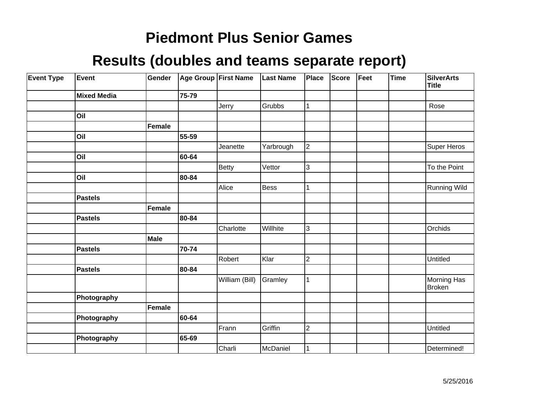| <b>Event Type</b> | <b>Event</b>       | Gender        |       | Age Group First Name | <b>Last Name</b> | Place          | Score | Feet | <b>Time</b> | <b>SilverArts</b><br><b>Title</b> |
|-------------------|--------------------|---------------|-------|----------------------|------------------|----------------|-------|------|-------------|-----------------------------------|
|                   | <b>Mixed Media</b> |               | 75-79 |                      |                  |                |       |      |             |                                   |
|                   |                    |               |       | Jerry                | Grubbs           | 1              |       |      |             | Rose                              |
|                   | Oil                |               |       |                      |                  |                |       |      |             |                                   |
|                   |                    | <b>Female</b> |       |                      |                  |                |       |      |             |                                   |
|                   | Oil                |               | 55-59 |                      |                  |                |       |      |             |                                   |
|                   |                    |               |       | Jeanette             | Yarbrough        | $\overline{2}$ |       |      |             | Super Heros                       |
|                   | Oil                |               | 60-64 |                      |                  |                |       |      |             |                                   |
|                   |                    |               |       | <b>Betty</b>         | Vettor           | 3              |       |      |             | To the Point                      |
|                   | Oil                |               | 80-84 |                      |                  |                |       |      |             |                                   |
|                   |                    |               |       | Alice                | <b>Bess</b>      | 1              |       |      |             | <b>Running Wild</b>               |
|                   | <b>Pastels</b>     |               |       |                      |                  |                |       |      |             |                                   |
|                   |                    | Female        |       |                      |                  |                |       |      |             |                                   |
|                   | <b>Pastels</b>     |               | 80-84 |                      |                  |                |       |      |             |                                   |
|                   |                    |               |       | Charlotte            | Willhite         | 3              |       |      |             | Orchids                           |
|                   |                    | Male          |       |                      |                  |                |       |      |             |                                   |
|                   | <b>Pastels</b>     |               | 70-74 |                      |                  |                |       |      |             |                                   |
|                   |                    |               |       | Robert               | Klar             | $\overline{c}$ |       |      |             | Untitled                          |
|                   | <b>Pastels</b>     |               | 80-84 |                      |                  |                |       |      |             |                                   |
|                   |                    |               |       | William (Bill)       | Gramley          | 1              |       |      |             | Morning Has<br><b>Broken</b>      |
|                   | Photography        |               |       |                      |                  |                |       |      |             |                                   |
|                   |                    | Female        |       |                      |                  |                |       |      |             |                                   |
|                   | Photography        |               | 60-64 |                      |                  |                |       |      |             |                                   |
|                   |                    |               |       | Frann                | Griffin          | $\overline{c}$ |       |      |             | Untitled                          |
|                   | Photography        |               | 65-69 |                      |                  |                |       |      |             |                                   |
|                   |                    |               |       | Charli               | McDaniel         | 1              |       |      |             | Determined!                       |